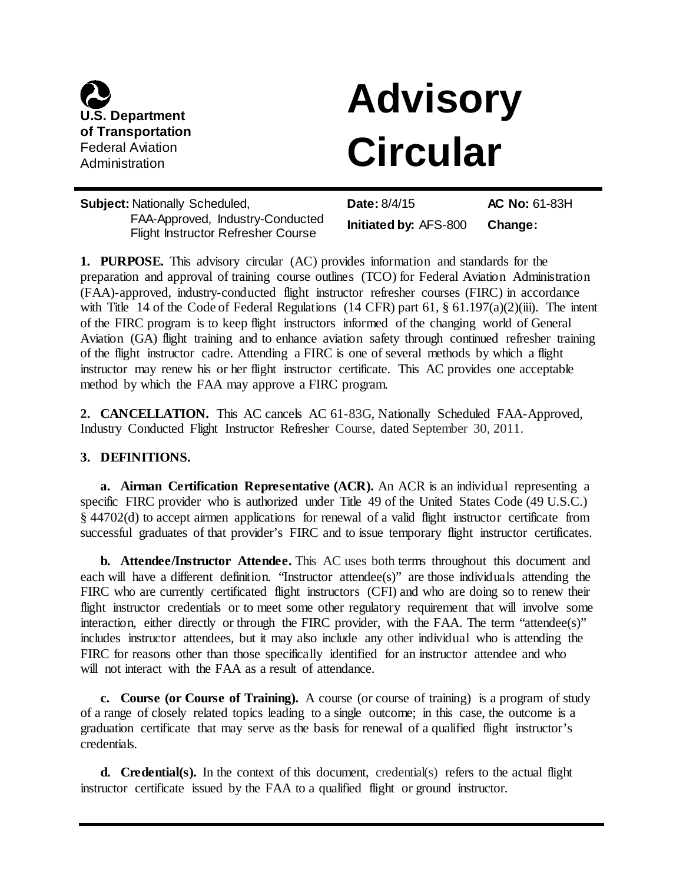

# **Advisory Circular**

| <b>Subject: Nationally Scheduled,</b>                                  | <b>Date: 8/4/15</b>          | <b>AC No: 61-83H</b> |
|------------------------------------------------------------------------|------------------------------|----------------------|
| FAA-Approved, Industry-Conducted<br>Flight Instructor Refresher Course | <b>Initiated by: AFS-800</b> | Change:              |

**1. PURPOSE.** This advisory circular (AC) provides information and standards for the preparation and approval of training course outlines (TCO) for Federal Aviation Administration (FAA)-approved, industry-conducted flight instructor refresher courses (FIRC) in accordance with Title 14 of the Code of Federal Regulations (14 CFR) part 61,  $\S$  61.197(a)(2)(iii). The intent of the FIRC program is to keep flight instructors informed of the changing world of General Aviation (GA) flight training and to enhance aviation safety through continued refresher training of the flight instructor cadre. Attending a FIRC is one of several methods by which a flight instructor may renew his or her flight instructor certificate. This AC provides one acceptable method by which the FAA may approve a FIRC program.

**2. CANCELLATION.** This AC cancels AC 61-83G, Nationally Scheduled FAA-Approved, Industry Conducted Flight Instructor Refresher Course, dated September 30, 2011.

#### **3. DEFINITIONS.**

**a. Airman Certification Representative (ACR).** An ACR is an individual representing a specific FIRC provider who is authorized under Title 49 of the United States Code (49 U.S.C.) § 44702(d) to accept airmen applications for renewal of a valid flight instructor certificate from successful graduates of that provider's FIRC and to issue temporary flight instructor certificates.

**b. Attendee/Instructor Attendee.** This AC uses both terms throughout this document and each will have a different definition. "Instructor attendee(s)" are those individuals attending the FIRC who are currently certificated flight instructors (CFI) and who are doing so to renew their flight instructor credentials or to meet some other regulatory requirement that will involve some interaction, either directly or through the FIRC provider, with the FAA. The term "attendee(s)" includes instructor attendees, but it may also include any other individual who is attending the FIRC for reasons other than those specifically identified for an instructor attendee and who will not interact with the FAA as a result of attendance.

**c. Course (or Course of Training).** A course (or course of training) is a program of study of a range of closely related topics leading to a single outcome; in this case, the outcome is a graduation certificate that may serve as the basis for renewal of a qualified flight instructor's credentials.

**d. Credential(s).** In the context of this document, credential(s) refers to the actual flight instructor certificate issued by the FAA to a qualified flight or ground instructor.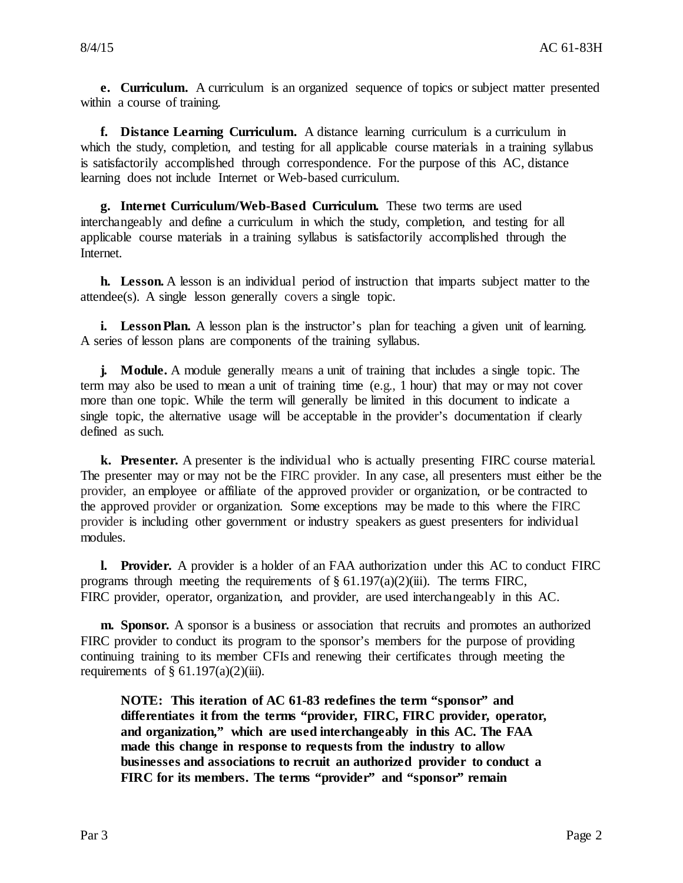**e. Curriculum.** A curriculum is an organized sequence of topics or subject matter presented within a course of training.

**f. Distance Learning Curriculum.** A distance learning curriculum is a curriculum in which the study, completion, and testing for all applicable course materials in a training syllabus is satisfactorily accomplished through correspondence. For the purpose of this AC, distance learning does not include Internet or Web-based curriculum.

**g. Internet Curriculum/Web-Based Curriculum.** These two terms are used interchangeably and define a curriculum in which the study, completion, and testing for all applicable course materials in a training syllabus is satisfactorily accomplished through the Internet.

**h. Lesson.** A lesson is an individual period of instruction that imparts subject matter to the attendee(s). A single lesson generally covers a single topic.

**i.** Lesson Plan. A lesson plan is the instructor's plan for teaching a given unit of learning. A series of lesson plans are components of the training syllabus.

**j. Module.** A module generally means a unit of training that includes a single topic. The term may also be used to mean a unit of training time (e.g., 1 hour) that may or may not cover more than one topic. While the term will generally be limited in this document to indicate a single topic, the alternative usage will be acceptable in the provider's documentation if clearly defined as such.

**k. Presenter.** A presenter is the individual who is actually presenting FIRC course material. The presenter may or may not be the FIRC provider. In any case, all presenters must either be the provider, an employee or affiliate of the approved provider or organization, or be contracted to the approved provider or organization. Some exceptions may be made to this where the FIRC provider is including other government or industry speakers as guest presenters for individual modules.

**l. Provider.** A provider is a holder of an FAA authorization under this AC to conduct FIRC programs through meeting the requirements of  $\S 61.197(a)(2)(iii)$ . The terms FIRC, FIRC provider, operator, organization, and provider, are used interchangeably in this AC.

**m. Sponsor.** A sponsor is a business or association that recruits and promotes an authorized FIRC provider to conduct its program to the sponsor's members for the purpose of providing continuing training to its member CFIs and renewing their certificates through meeting the requirements of  $\S$  61.197(a)(2)(iii).

**NOTE: This iteration of AC 61-83 redefines the term "sponsor" and differentiates it from the terms "provider, FIRC, FIRC provider, operator, and organization," which are used interchangeably in this AC. The FAA made this change in response to requests from the industry to allow businesses and associations to recruit an authorized provider to conduct a FIRC for its members. The terms "provider" and "sponsor" remain**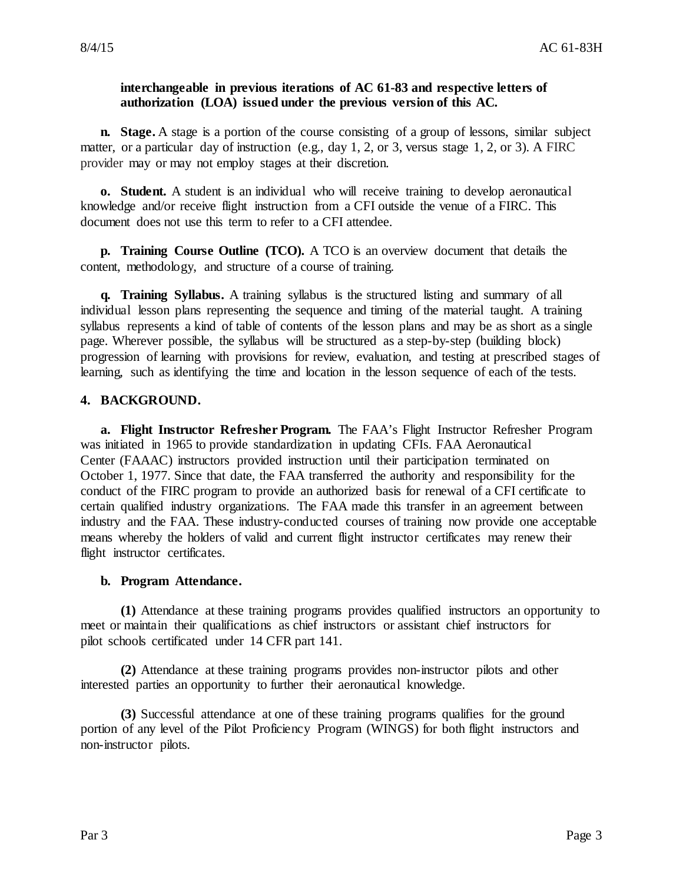#### **interchangeable in previous iterations of AC 61-83 and respective letters of authorization (LOA) issued under the previous version of this AC.**

**n. Stage.** A stage is a portion of the course consisting of a group of lessons, similar subject matter, or a particular day of instruction (e.g., day 1, 2, or 3, versus stage 1, 2, or 3). A FIRC provider may or may not employ stages at their discretion.

**o. Student.** A student is an individual who will receive training to develop aeronautical knowledge and/or receive flight instruction from a CFI outside the venue of a FIRC. This document does not use this term to refer to a CFI attendee.

**p. Training Course Outline (TCO).** A TCO is an overview document that details the content, methodology, and structure of a course of training.

**q. Training Syllabus.** A training syllabus is the structured listing and summary of all individual lesson plans representing the sequence and timing of the material taught. A training syllabus represents a kind of table of contents of the lesson plans and may be as short as a single page. Wherever possible, the syllabus will be structured as a step-by-step (building block) progression of learning with provisions for review, evaluation, and testing at prescribed stages of learning, such as identifying the time and location in the lesson sequence of each of the tests.

#### **4. BACKGROUND.**

**a. Flight Instructor Refresher Program.** The FAA's Flight Instructor Refresher Program was initiated in 1965 to provide standardization in updating CFIs. FAA Aeronautical Center (FAAAC) instructors provided instruction until their participation terminated on October 1, 1977. Since that date, the FAA transferred the authority and responsibility for the conduct of the FIRC program to provide an authorized basis for renewal of a CFI certificate to certain qualified industry organizations. The FAA made this transfer in an agreement between industry and the FAA. These industry-conducted courses of training now provide one acceptable means whereby the holders of valid and current flight instructor certificates may renew their flight instructor certificates.

#### **b. Program Attendance.**

**(1)** Attendance at these training programs provides qualified instructors an opportunity to meet or maintain their qualifications as chief instructors or assistant chief instructors for pilot schools certificated under 14 CFR part 141.

**(2)** Attendance at these training programs provides non-instructor pilots and other interested parties an opportunity to further their aeronautical knowledge.

**(3)** Successful attendance at one of these training programs qualifies for the ground portion of any level of the Pilot Proficiency Program (WINGS) for both flight instructors and non-instructor pilots.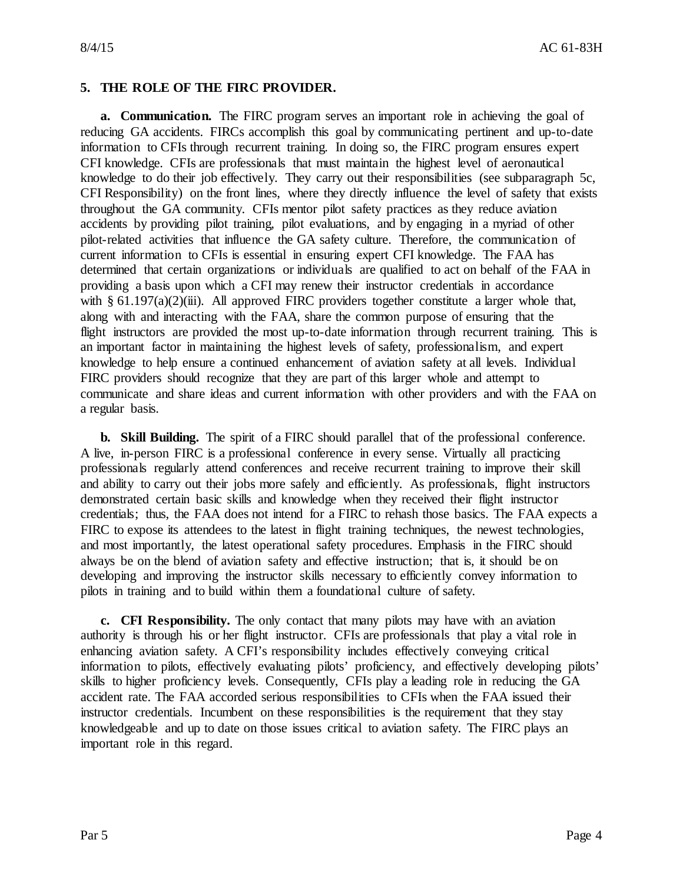#### **5. THE ROLE OF THE FIRC PROVIDER.**

**a. Communication.** The FIRC program serves an important role in achieving the goal of reducing GA accidents. FIRCs accomplish this goal by communicating pertinent and up-to-date information to CFIs through recurrent training. In doing so, the FIRC program ensures expert CFI knowledge. CFIs are professionals that must maintain the highest level of aeronautical knowledge to do their job effectively. They carry out their responsibilities (see subparagraph 5c, CFI Responsibility) on the front lines, where they directly influence the level of safety that exists throughout the GA community. CFIs mentor pilot safety practices as they reduce aviation accidents by providing pilot training, pilot evaluations, and by engaging in a myriad of other pilot-related activities that influence the GA safety culture. Therefore, the communication of current information to CFIs is essential in ensuring expert CFI knowledge. The FAA has determined that certain organizations or individuals are qualified to act on behalf of the FAA in providing a basis upon which a CFI may renew their instructor credentials in accordance with  $\S 61.197(a)(2)$ (iii). All approved FIRC providers together constitute a larger whole that, along with and interacting with the FAA, share the common purpose of ensuring that the flight instructors are provided the most up-to-date information through recurrent training. This is an important factor in maintaining the highest levels of safety, professionalism, and expert knowledge to help ensure a continued enhancement of aviation safety at all levels. Individual FIRC providers should recognize that they are part of this larger whole and attempt to communicate and share ideas and current information with other providers and with the FAA on a regular basis.

**b. Skill Building.** The spirit of a FIRC should parallel that of the professional conference. A live, in-person FIRC is a professional conference in every sense. Virtually all practicing professionals regularly attend conferences and receive recurrent training to improve their skill and ability to carry out their jobs more safely and efficiently. As professionals, flight instructors demonstrated certain basic skills and knowledge when they received their flight instructor credentials; thus, the FAA does not intend for a FIRC to rehash those basics. The FAA expects a FIRC to expose its attendees to the latest in flight training techniques, the newest technologies, and most importantly, the latest operational safety procedures. Emphasis in the FIRC should always be on the blend of aviation safety and effective instruction; that is, it should be on developing and improving the instructor skills necessary to efficiently convey information to pilots in training and to build within them a foundational culture of safety.

**c. CFI Responsibility.** The only contact that many pilots may have with an aviation authority is through his or her flight instructor. CFIs are professionals that play a vital role in enhancing aviation safety. A CFI's responsibility includes effectively conveying critical information to pilots, effectively evaluating pilots' proficiency, and effectively developing pilots' skills to higher proficiency levels. Consequently, CFIs play a leading role in reducing the GA accident rate. The FAA accorded serious responsibilities to CFIs when the FAA issued their instructor credentials. Incumbent on these responsibilities is the requirement that they stay knowledgeable and up to date on those issues critical to aviation safety. The FIRC plays an important role in this regard.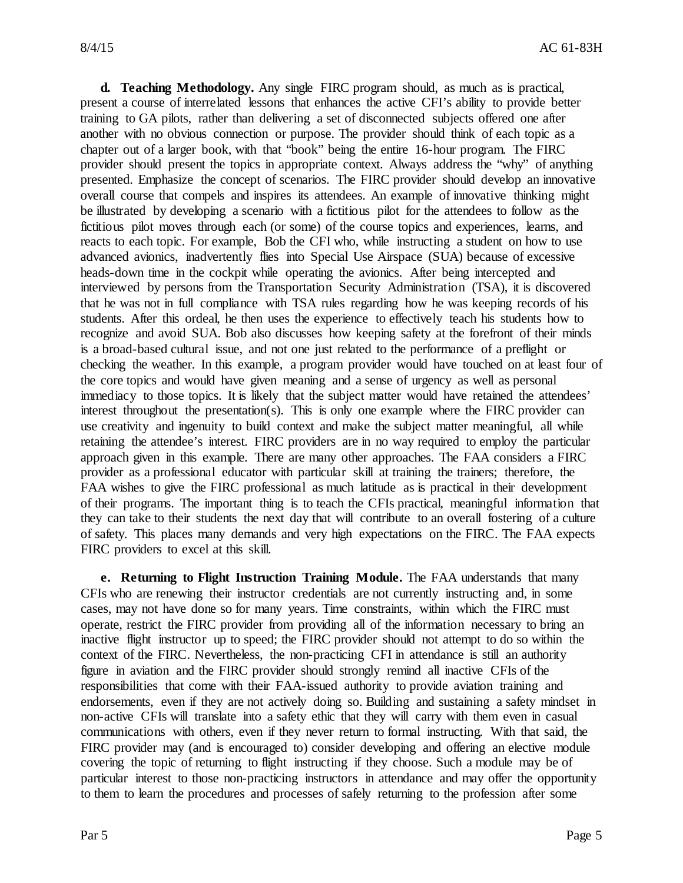**d. Teaching Methodology.** Any single FIRC program should, as much as is practical, present a course of interrelated lessons that enhances the active CFI's ability to provide better training to GA pilots, rather than delivering a set of disconnected subjects offered one after another with no obvious connection or purpose. The provider should think of each topic as a chapter out of a larger book, with that "book" being the entire 16-hour program. The FIRC provider should present the topics in appropriate context. Always address the "why" of anything presented. Emphasize the concept of scenarios. The FIRC provider should develop an innovative overall course that compels and inspires its attendees. An example of innovative thinking might be illustrated by developing a scenario with a fictitious pilot for the attendees to follow as the fictitious pilot moves through each (or some) of the course topics and experiences, learns, and reacts to each topic. For example, Bob the CFI who, while instructing a student on how to use advanced avionics, inadvertently flies into Special Use Airspace (SUA) because of excessive heads-down time in the cockpit while operating the avionics. After being intercepted and interviewed by persons from the Transportation Security Administration (TSA), it is discovered that he was not in full compliance with TSA rules regarding how he was keeping records of his students. After this ordeal, he then uses the experience to effectively teach his students how to recognize and avoid SUA. Bob also discusses how keeping safety at the forefront of their minds is a broad-based cultural issue, and not one just related to the performance of a preflight or checking the weather. In this example, a program provider would have touched on at least four of the core topics and would have given meaning and a sense of urgency as well as personal immediacy to those topics. It is likely that the subject matter would have retained the attendees' interest throughout the presentation(s). This is only one example where the FIRC provider can use creativity and ingenuity to build context and make the subject matter meaningful, all while retaining the attendee's interest. FIRC providers are in no way required to employ the particular approach given in this example. There are many other approaches. The FAA considers a FIRC provider as a professional educator with particular skill at training the trainers; therefore, the FAA wishes to give the FIRC professional as much latitude as is practical in their development of their programs. The important thing is to teach the CFIs practical, meaningful information that they can take to their students the next day that will contribute to an overall fostering of a culture of safety. This places many demands and very high expectations on the FIRC. The FAA expects FIRC providers to excel at this skill.

**e. Returning to Flight Instruction Training Module.** The FAA understands that many CFIs who are renewing their instructor credentials are not currently instructing and, in some cases, may not have done so for many years. Time constraints, within which the FIRC must operate, restrict the FIRC provider from providing all of the information necessary to bring an inactive flight instructor up to speed; the FIRC provider should not attempt to do so within the context of the FIRC. Nevertheless, the non-practicing CFI in attendance is still an authority figure in aviation and the FIRC provider should strongly remind all inactive CFIs of the responsibilities that come with their FAA-issued authority to provide aviation training and endorsements, even if they are not actively doing so. Building and sustaining a safety mindset in non-active CFIs will translate into a safety ethic that they will carry with them even in casual communications with others, even if they never return to formal instructing. With that said, the FIRC provider may (and is encouraged to) consider developing and offering an elective module covering the topic of returning to flight instructing if they choose. Such a module may be of particular interest to those non-practicing instructors in attendance and may offer the opportunity to them to learn the procedures and processes of safely returning to the profession after some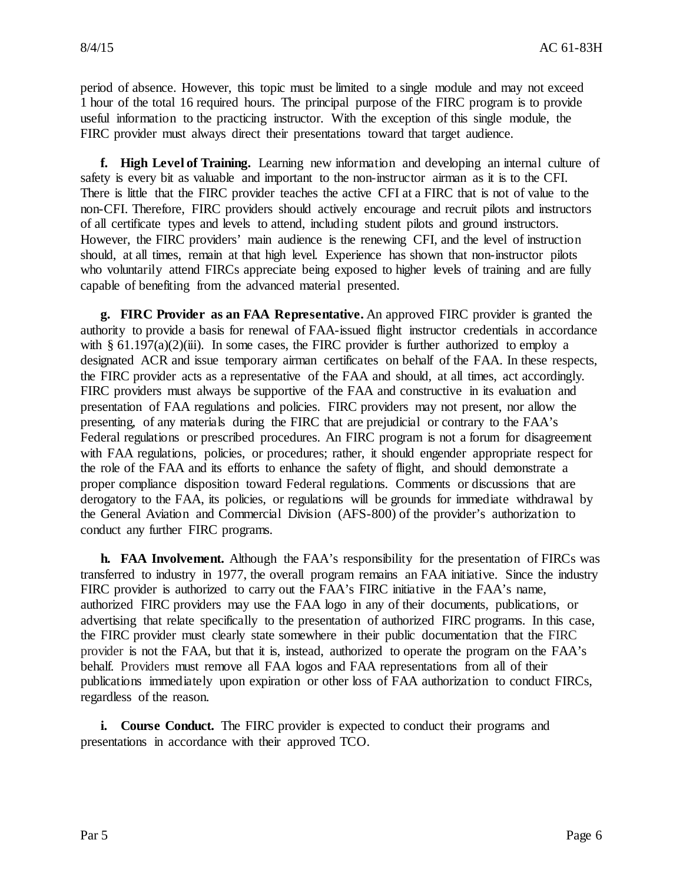period of absence. However, this topic must be limited to a single module and may not exceed 1 hour of the total 16 required hours. The principal purpose of the FIRC program is to provide useful information to the practicing instructor. With the exception of this single module, the FIRC provider must always direct their presentations toward that target audience.

**f. High Level of Training.** Learning new information and developing an internal culture of safety is every bit as valuable and important to the non-instructor airman as it is to the CFI. There is little that the FIRC provider teaches the active CFI at a FIRC that is not of value to the non-CFI. Therefore, FIRC providers should actively encourage and recruit pilots and instructors of all certificate types and levels to attend, including student pilots and ground instructors. However, the FIRC providers' main audience is the renewing CFI, and the level of instruction should, at all times, remain at that high level. Experience has shown that non-instructor pilots who voluntarily attend FIRCs appreciate being exposed to higher levels of training and are fully capable of benefiting from the advanced material presented.

**g. FIRC Provider as an FAA Representative.** An approved FIRC provider is granted the authority to provide a basis for renewal of FAA-issued flight instructor credentials in accordance with § 61.197(a)(2)(iii). In some cases, the FIRC provider is further authorized to employ a designated ACR and issue temporary airman certificates on behalf of the FAA. In these respects, the FIRC provider acts as a representative of the FAA and should, at all times, act accordingly. FIRC providers must always be supportive of the FAA and constructive in its evaluation and presentation of FAA regulations and policies. FIRC providers may not present, nor allow the presenting, of any materials during the FIRC that are prejudicial or contrary to the FAA's Federal regulations or prescribed procedures. An FIRC program is not a forum for disagreement with FAA regulations, policies, or procedures; rather, it should engender appropriate respect for the role of the FAA and its efforts to enhance the safety of flight, and should demonstrate a proper compliance disposition toward Federal regulations. Comments or discussions that are derogatory to the FAA, its policies, or regulations will be grounds for immediate withdrawal by the General Aviation and Commercial Division (AFS-800) of the provider's authorization to conduct any further FIRC programs.

**h. FAA Involvement.** Although the FAA's responsibility for the presentation of FIRCs was transferred to industry in 1977, the overall program remains an FAA initiative. Since the industry FIRC provider is authorized to carry out the FAA's FIRC initiative in the FAA's name, authorized FIRC providers may use the FAA logo in any of their documents, publications, or advertising that relate specifically to the presentation of authorized FIRC programs. In this case, the FIRC provider must clearly state somewhere in their public documentation that the FIRC provider is not the FAA, but that it is, instead, authorized to operate the program on the FAA's behalf. Providers must remove all FAA logos and FAA representations from all of their publications immediately upon expiration or other loss of FAA authorization to conduct FIRCs, regardless of the reason.

**i. Course Conduct.** The FIRC provider is expected to conduct their programs and presentations in accordance with their approved TCO.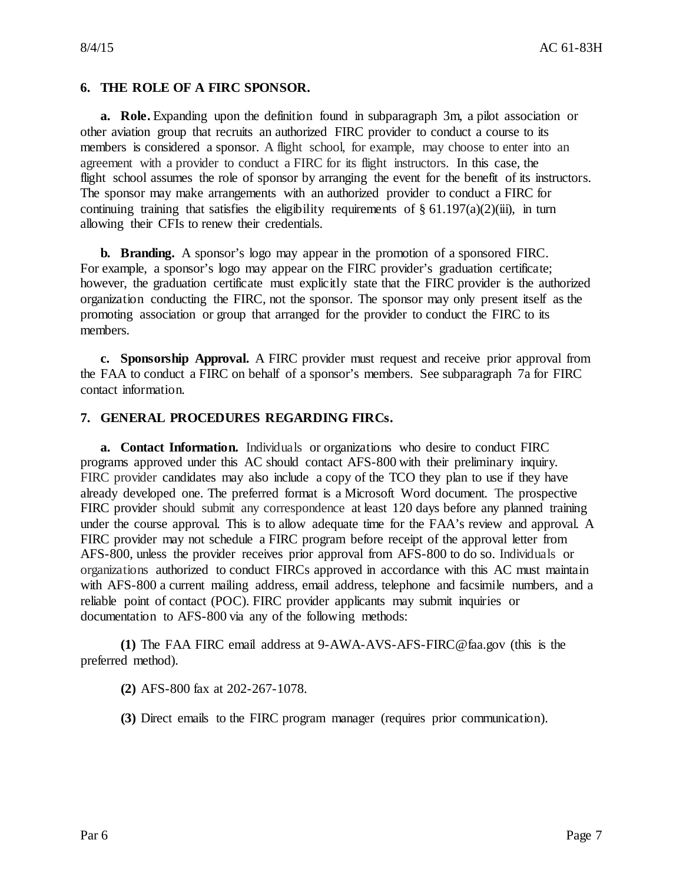#### **6. THE ROLE OF A FIRC SPONSOR.**

**a. Role.** Expanding upon the definition found in subparagraph 3m, a pilot association or other aviation group that recruits an authorized FIRC provider to conduct a course to its members is considered a sponsor. A flight school, for example, may choose to enter into an agreement with a provider to conduct a FIRC for its flight instructors. In this case, the flight school assumes the role of sponsor by arranging the event for the benefit of its instructors. The sponsor may make arrangements with an authorized provider to conduct a FIRC for continuing training that satisfies the eligibility requirements of  $\S 61.197(a)(2)(iii)$ , in turn allowing their CFIs to renew their credentials.

**b. Branding.** A sponsor's logo may appear in the promotion of a sponsored FIRC. For example, a sponsor's logo may appear on the FIRC provider's graduation certificate; however, the graduation certificate must explicitly state that the FIRC provider is the authorized organization conducting the FIRC, not the sponsor. The sponsor may only present itself as the promoting association or group that arranged for the provider to conduct the FIRC to its members.

**c. Sponsorship Approval.** A FIRC provider must request and receive prior approval from the FAA to conduct a FIRC on behalf of a sponsor's members. See subparagraph 7a for FIRC contact information.

#### **7. GENERAL PROCEDURES REGARDING FIRCs.**

**a. Contact Information.** Individuals or organizations who desire to conduct FIRC programs approved under this AC should contact AFS-800 with their preliminary inquiry. FIRC provider candidates may also include a copy of the TCO they plan to use if they have already developed one. The preferred format is a Microsoft Word document. The prospective FIRC provider should submit any correspondence at least 120 days before any planned training under the course approval. This is to allow adequate time for the FAA's review and approval. A FIRC provider may not schedule a FIRC program before receipt of the approval letter from AFS-800, unless the provider receives prior approval from AFS-800 to do so. Individuals or organizations authorized to conduct FIRCs approved in accordance with this AC must maintain with AFS-800 a current mailing address, email address, telephone and facsimile numbers, and a reliable point of contact (POC). FIRC provider applicants may submit inquiries or documentation to AFS-800 via any of the following methods:

**(1)** The FAA FIRC email address at [9-AWA-AVS-AFS-FIRC@faa.gov](mailto:9AWAAVSAFSFIRC@faa.gov) (this is the preferred method).

**(2)** AFS-800 fax at 202-267-1078.

**(3)** Direct emails to the FIRC program manager (requires prior communication).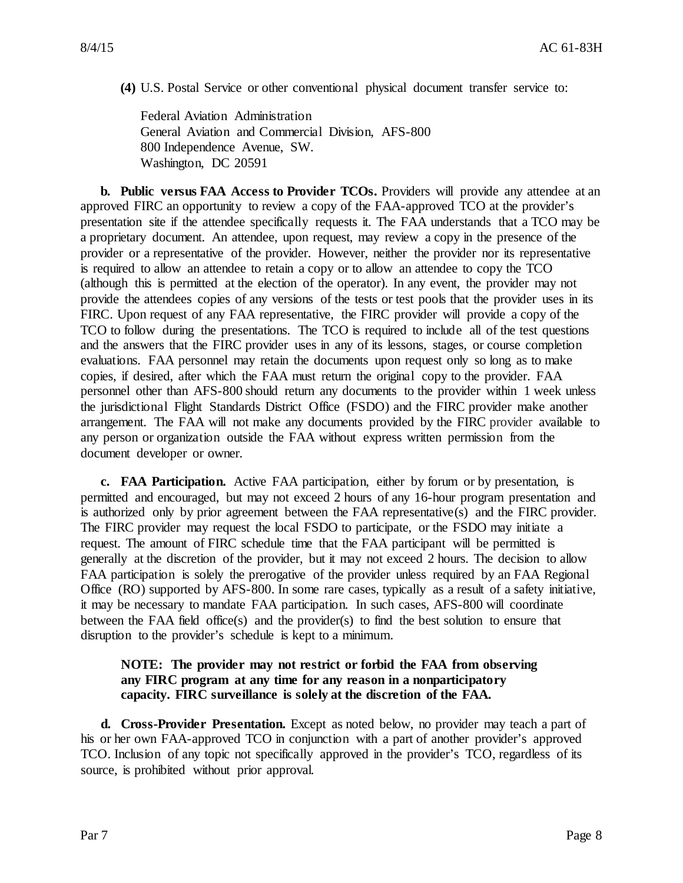**(4)** U.S. Postal Service or other conventional physical document transfer service to:

Federal Aviation Administration General Aviation and Commercial Division, AFS-800 800 Independence Avenue, SW. Washington, DC 20591

**b. Public versus FAA Access to Provider TCOs.** Providers will provide any attendee at an approved FIRC an opportunity to review a copy of the FAA-approved TCO at the provider's presentation site if the attendee specifically requests it. The FAA understands that a TCO may be a proprietary document. An attendee, upon request, may review a copy in the presence of the provider or a representative of the provider. However, neither the provider nor its representative is required to allow an attendee to retain a copy or to allow an attendee to copy the TCO (although this is permitted at the election of the operator). In any event, the provider may not provide the attendees copies of any versions of the tests or test pools that the provider uses in its FIRC. Upon request of any FAA representative, the FIRC provider will provide a copy of the TCO to follow during the presentations. The TCO is required to include all of the test questions and the answers that the FIRC provider uses in any of its lessons, stages, or course completion evaluations. FAA personnel may retain the documents upon request only so long as to make copies, if desired, after which the FAA must return the original copy to the provider. FAA personnel other than AFS-800 should return any documents to the provider within 1 week unless the jurisdictional Flight Standards District Office (FSDO) and the FIRC provider make another arrangement. The FAA will not make any documents provided by the FIRC provider available to any person or organization outside the FAA without express written permission from the document developer or owner.

**c. FAA Participation.** Active FAA participation, either by forum or by presentation, is permitted and encouraged, but may not exceed 2 hours of any 16-hour program presentation and is authorized only by prior agreement between the FAA representative(s) and the FIRC provider. The FIRC provider may request the local FSDO to participate, or the FSDO may initiate a request. The amount of FIRC schedule time that the FAA participant will be permitted is generally at the discretion of the provider, but it may not exceed 2 hours. The decision to allow FAA participation is solely the prerogative of the provider unless required by an FAA Regional Office (RO) supported by AFS-800. In some rare cases, typically as a result of a safety initiative, it may be necessary to mandate FAA participation. In such cases, AFS-800 will coordinate between the FAA field office(s) and the provider(s) to find the best solution to ensure that disruption to the provider's schedule is kept to a minimum.

#### **NOTE: The provider may not restrict or forbid the FAA from observing any FIRC program at any time for any reason in a nonparticipatory capacity. FIRC surveillance is solely at the discretion of the FAA.**

**d. Cross-Provider Presentation.** Except as noted below, no provider may teach a part of his or her own FAA-approved TCO in conjunction with a part of another provider's approved TCO. Inclusion of any topic not specifically approved in the provider's TCO, regardless of its source, is prohibited without prior approval.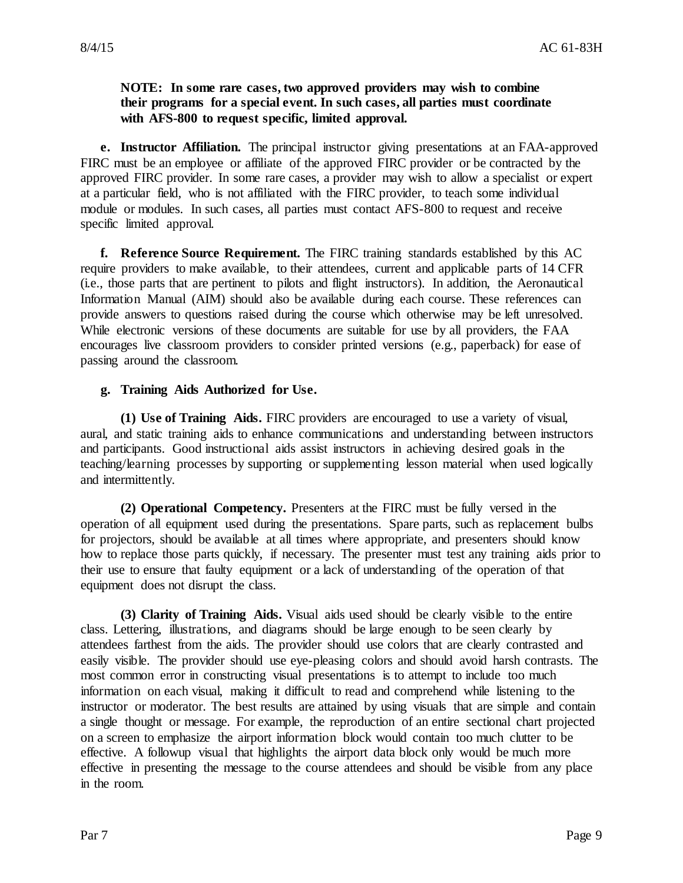#### **NOTE: In some rare cases, two approved providers may wish to combine their programs for a special event. In such cases, all parties must coordinate with AFS-800 to request specific, limited approval.**

**e. Instructor Affiliation.** The principal instructor giving presentations at an FAA-approved FIRC must be an employee or affiliate of the approved FIRC provider or be contracted by the approved FIRC provider. In some rare cases, a provider may wish to allow a specialist or expert at a particular field, who is not affiliated with the FIRC provider, to teach some individual module or modules. In such cases, all parties must contact AFS-800 to request and receive specific limited approval.

**f. Reference Source Requirement.** The FIRC training standards established by this AC require providers to make available, to their attendees, current and applicable parts of 14 CFR (i.e., those parts that are pertinent to pilots and flight instructors). In addition, the Aeronautical Information Manual (AIM) should also be available during each course. These references can provide answers to questions raised during the course which otherwise may be left unresolved. While electronic versions of these documents are suitable for use by all providers, the FAA encourages live classroom providers to consider printed versions (e.g., paperback) for ease of passing around the classroom.

#### **g. Training Aids Authorized for Use.**

**(1) Use of Training Aids.** FIRC providers are encouraged to use a variety of visual, aural, and static training aids to enhance communications and understanding between instructors and participants. Good instructional aids assist instructors in achieving desired goals in the teaching/learning processes by supporting or supplementing lesson material when used logically and intermittently.

**(2) Operational Competency.** Presenters at the FIRC must be fully versed in the operation of all equipment used during the presentations. Spare parts, such as replacement bulbs for projectors, should be available at all times where appropriate, and presenters should know how to replace those parts quickly, if necessary. The presenter must test any training aids prior to their use to ensure that faulty equipment or a lack of understanding of the operation of that equipment does not disrupt the class.

**(3) Clarity of Training Aids.** Visual aids used should be clearly visible to the entire class. Lettering, illustrations, and diagrams should be large enough to be seen clearly by attendees farthest from the aids. The provider should use colors that are clearly contrasted and easily visible. The provider should use eye-pleasing colors and should avoid harsh contrasts. The most common error in constructing visual presentations is to attempt to include too much information on each visual, making it difficult to read and comprehend while listening to the instructor or moderator. The best results are attained by using visuals that are simple and contain a single thought or message. For example, the reproduction of an entire sectional chart projected on a screen to emphasize the airport information block would contain too much clutter to be effective. A followup visual that highlights the airport data block only would be much more effective in presenting the message to the course attendees and should be visible from any place in the room.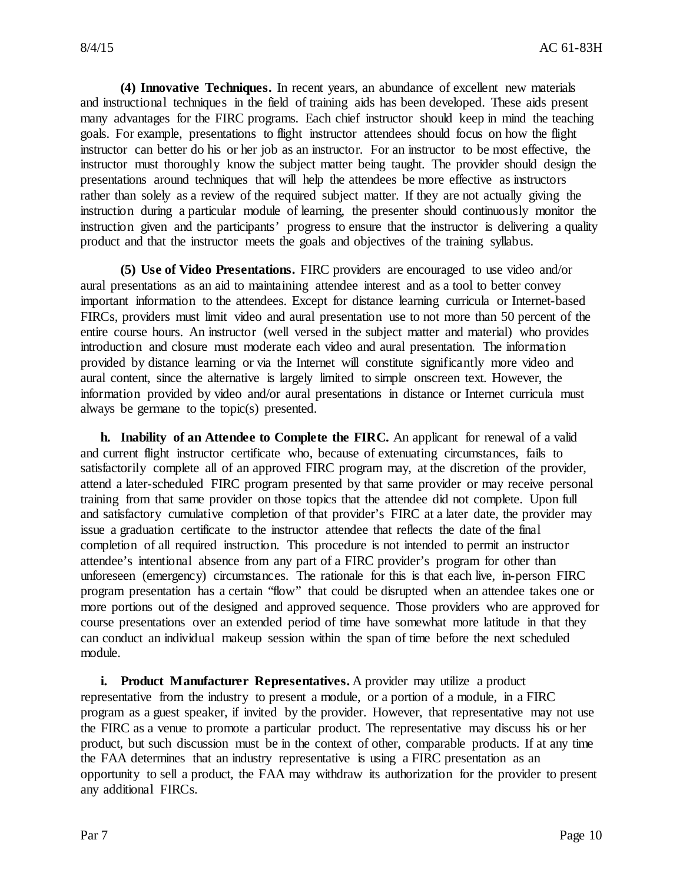**(4) Innovative Techniques.** In recent years, an abundance of excellent new materials and instructional techniques in the field of training aids has been developed. These aids present many advantages for the FIRC programs. Each chief instructor should keep in mind the teaching goals. For example, presentations to flight instructor attendees should focus on how the flight instructor can better do his or her job as an instructor. For an instructor to be most effective, the instructor must thoroughly know the subject matter being taught. The provider should design the presentations around techniques that will help the attendees be more effective as instructors rather than solely as a review of the required subject matter. If they are not actually giving the instruction during a particular module of learning, the presenter should continuously monitor the instruction given and the participants' progress to ensure that the instructor is delivering a quality product and that the instructor meets the goals and objectives of the training syllabus.

**(5) Use of Video Presentations.** FIRC providers are encouraged to use video and/or aural presentations as an aid to maintaining attendee interest and as a tool to better convey important information to the attendees. Except for distance learning curricula or Internet-based FIRCs, providers must limit video and aural presentation use to not more than 50 percent of the entire course hours. An instructor (well versed in the subject matter and material) who provides introduction and closure must moderate each video and aural presentation. The information provided by distance learning or via the Internet will constitute significantly more video and aural content, since the alternative is largely limited to simple onscreen text. However, the information provided by video and/or aural presentations in distance or Internet curricula must always be germane to the topic(s) presented.

**h. Inability of an Attendee to Complete the FIRC.** An applicant for renewal of a valid and current flight instructor certificate who, because of extenuating circumstances, fails to satisfactorily complete all of an approved FIRC program may, at the discretion of the provider, attend a later-scheduled FIRC program presented by that same provider or may receive personal training from that same provider on those topics that the attendee did not complete. Upon full and satisfactory cumulative completion of that provider's FIRC at a later date, the provider may issue a graduation certificate to the instructor attendee that reflects the date of the final completion of all required instruction. This procedure is not intended to permit an instructor attendee's intentional absence from any part of a FIRC provider's program for other than unforeseen (emergency) circumstances. The rationale for this is that each live, in-person FIRC program presentation has a certain "flow" that could be disrupted when an attendee takes one or more portions out of the designed and approved sequence. Those providers who are approved for course presentations over an extended period of time have somewhat more latitude in that they can conduct an individual makeup session within the span of time before the next scheduled module.

**i. Product Manufacturer Representatives.** A provider may utilize a product representative from the industry to present a module, or a portion of a module, in a FIRC program as a guest speaker, if invited by the provider. However, that representative may not use the FIRC as a venue to promote a particular product. The representative may discuss his or her product, but such discussion must be in the context of other, comparable products. If at any time the FAA determines that an industry representative is using a FIRC presentation as an opportunity to sell a product, the FAA may withdraw its authorization for the provider to present any additional FIRCs.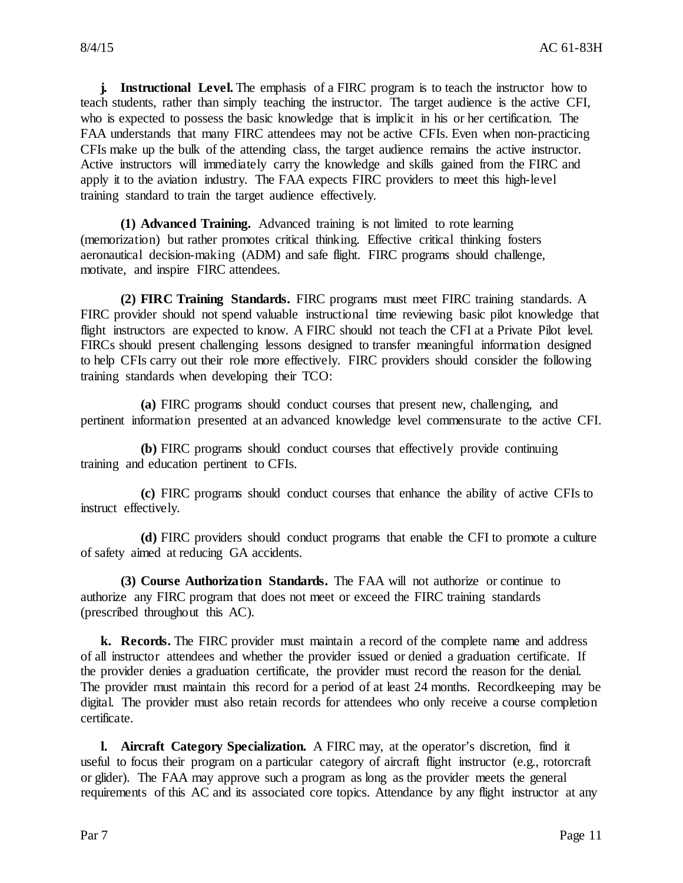**j. Instructional Level.** The emphasis of a FIRC program is to teach the instructor how to teach students, rather than simply teaching the instructor. The target audience is the active CFI, who is expected to possess the basic knowledge that is implicit in his or her certification. The FAA understands that many FIRC attendees may not be active CFIs. Even when non-practicing CFIs make up the bulk of the attending class, the target audience remains the active instructor. Active instructors will immediately carry the knowledge and skills gained from the FIRC and apply it to the aviation industry. The FAA expects FIRC providers to meet this high-level training standard to train the target audience effectively.

**(1) Advanced Training.** Advanced training is not limited to rote learning (memorization) but rather promotes critical thinking. Effective critical thinking fosters aeronautical decision-making (ADM) and safe flight. FIRC programs should challenge, motivate, and inspire FIRC attendees.

**(2) FIRC Training Standards.** FIRC programs must meet FIRC training standards. A FIRC provider should not spend valuable instructional time reviewing basic pilot knowledge that flight instructors are expected to know. A FIRC should not teach the CFI at a Private Pilot level. FIRCs should present challenging lessons designed to transfer meaningful information designed to help CFIs carry out their role more effectively. FIRC providers should consider the following training standards when developing their TCO:

**(a)** FIRC programs should conduct courses that present new, challenging, and pertinent information presented at an advanced knowledge level commensurate to the active CFI.

**(b)** FIRC programs should conduct courses that effectively provide continuing training and education pertinent to CFIs.

**(c)** FIRC programs should conduct courses that enhance the ability of active CFIs to instruct effectively.

**(d)** FIRC providers should conduct programs that enable the CFI to promote a culture of safety aimed at reducing GA accidents.

**(3) Course Authorization Standards.** The FAA will not authorize or continue to authorize any FIRC program that does not meet or exceed the FIRC training standards (prescribed throughout this AC).

**k. Records.** The FIRC provider must maintain a record of the complete name and address of all instructor attendees and whether the provider issued or denied a graduation certificate. If the provider denies a graduation certificate, the provider must record the reason for the denial. The provider must maintain this record for a period of at least 24 months. Recordkeeping may be digital. The provider must also retain records for attendees who only receive a course completion certificate.

**l. Aircraft Category Specialization.** A FIRC may, at the operator's discretion, find it useful to focus their program on a particular category of aircraft flight instructor (e.g., rotorcraft or glider). The FAA may approve such a program as long as the provider meets the general requirements of this AC and its associated core topics. Attendance by any flight instructor at any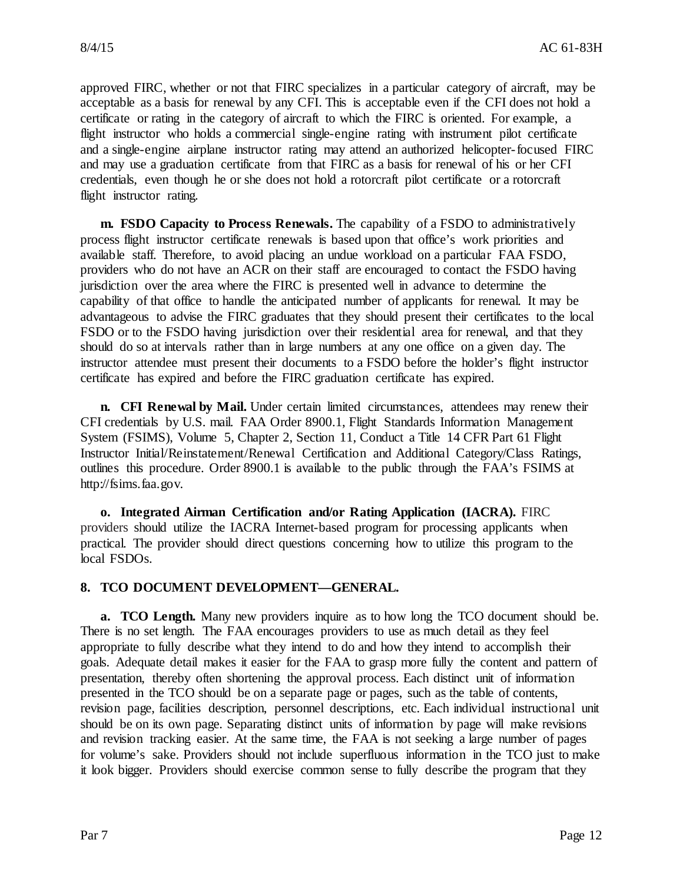approved FIRC, whether or not that FIRC specializes in a particular category of aircraft, may be acceptable as a basis for renewal by any CFI. This is acceptable even if the CFI does not hold a certificate or rating in the category of aircraft to which the FIRC is oriented. For example, a flight instructor who holds a commercial single-engine rating with instrument pilot certificate and a single-engine airplane instructor rating may attend an authorized helicopter-focused FIRC and may use a graduation certificate from that FIRC as a basis for renewal of his or her CFI credentials, even though he or she does not hold a rotorcraft pilot certificate or a rotorcraft flight instructor rating.

**m. FSDO Capacity to Process Renewals.** The capability of a FSDO to administratively process flight instructor certificate renewals is based upon that office's work priorities and available staff. Therefore, to avoid placing an undue workload on a particular FAA FSDO, providers who do not have an ACR on their staff are encouraged to contact the FSDO having jurisdiction over the area where the FIRC is presented well in advance to determine the capability of that office to handle the anticipated number of applicants for renewal. It may be advantageous to advise the FIRC graduates that they should present their certificates to the local FSDO or to the FSDO having jurisdiction over their residential area for renewal, and that they should do so at intervals rather than in large numbers at any one office on a given day. The instructor attendee must present their documents to a FSDO before the holder's flight instructor certificate has expired and before the FIRC graduation certificate has expired.

**n. CFI Renewal by Mail.** Under certain limited circumstances, attendees may renew their CFI credentials by U.S. mail. FAA Order 8900.1, Flight Standards Information Management System (FSIMS), Volume 5, Chapter 2, Section 11, Conduct a Title 14 CFR Part 61 Flight Instructor Initial/Reinstatement/Renewal Certification and Additional Category/Class Ratings, outlines this procedure. Order 8900.1 is available to the public through the FAA's FSIMS at http://fsims.faa.gov.

**o. Integrated Airman Certification and/or Rating Application (IACRA).** FIRC providers should utilize the IACRA Internet-based program for processing applicants when practical. The provider should direct questions concerning how to utilize this program to the local FSDOs.

#### **8. TCO DOCUMENT DEVELOPMENT—GENERAL.**

**a. TCO Length.** Many new providers inquire as to how long the TCO document should be. There is no set length. The FAA encourages providers to use as much detail as they feel appropriate to fully describe what they intend to do and how they intend to accomplish their goals. Adequate detail makes it easier for the FAA to grasp more fully the content and pattern of presentation, thereby often shortening the approval process. Each distinct unit of information presented in the TCO should be on a separate page or pages, such as the table of contents, revision page, facilities description, personnel descriptions, etc. Each individual instructional unit should be on its own page. Separating distinct units of information by page will make revisions and revision tracking easier. At the same time, the FAA is not seeking a large number of pages for volume's sake. Providers should not include superfluous information in the TCO just to make it look bigger. Providers should exercise common sense to fully describe the program that they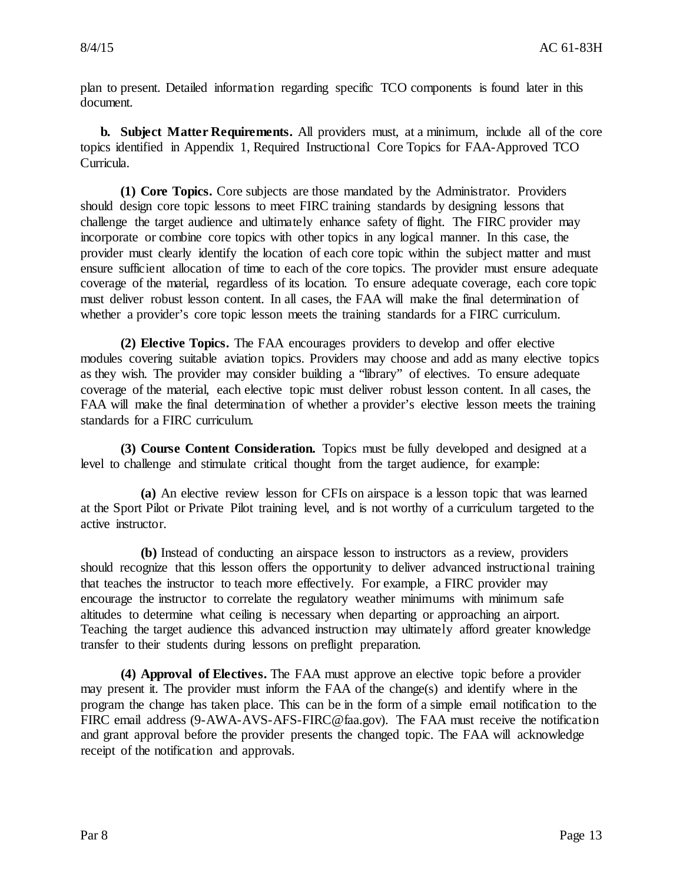plan to present. Detailed information regarding specific TCO components is found later in this document.

**b. Subject Matter Requirements.** All providers must, at a minimum, include all of the core topics identified in Appendix 1, Required Instructional Core Topics for FAA-Approved TCO Curricula.

**(1) Core Topics.** Core subjects are those mandated by the Administrator. Providers should design core topic lessons to meet FIRC training standards by designing lessons that challenge the target audience and ultimately enhance safety of flight. The FIRC provider may incorporate or combine core topics with other topics in any logical manner. In this case, the provider must clearly identify the location of each core topic within the subject matter and must ensure sufficient allocation of time to each of the core topics. The provider must ensure adequate coverage of the material, regardless of its location. To ensure adequate coverage, each core topic must deliver robust lesson content. In all cases, the FAA will make the final determination of whether a provider's core topic lesson meets the training standards for a FIRC curriculum.

**(2) Elective Topics.** The FAA encourages providers to develop and offer elective modules covering suitable aviation topics. Providers may choose and add as many elective topics as they wish. The provider may consider building a "library" of electives. To ensure adequate coverage of the material, each elective topic must deliver robust lesson content. In all cases, the FAA will make the final determination of whether a provider's elective lesson meets the training standards for a FIRC curriculum.

**(3) Course Content Consideration.** Topics must be fully developed and designed at a level to challenge and stimulate critical thought from the target audience, for example:

**(a)** An elective review lesson for CFIs on airspace is a lesson topic that was learned at the Sport Pilot or Private Pilot training level, and is not worthy of a curriculum targeted to the active instructor.

**(b)** Instead of conducting an airspace lesson to instructors as a review, providers should recognize that this lesson offers the opportunity to deliver advanced instructional training that teaches the instructor to teach more effectively. For example, a FIRC provider may encourage the instructor to correlate the regulatory weather minimums with minimum safe altitudes to determine what ceiling is necessary when departing or approaching an airport. Teaching the target audience this advanced instruction may ultimately afford greater knowledge transfer to their students during lessons on preflight preparation.

**(4) Approval of Electives.** The FAA must approve an elective topic before a provider may present it. The provider must inform the FAA of the change(s) and identify where in the program the change has taken place. This can be in the form of a simple email notification to the FIRC email address (9-AWA-AVS-AFS-FIRC@faa.gov). The FAA must receive the notification and grant approval before the provider presents the changed topic. The FAA will acknowledge receipt of the notification and approvals.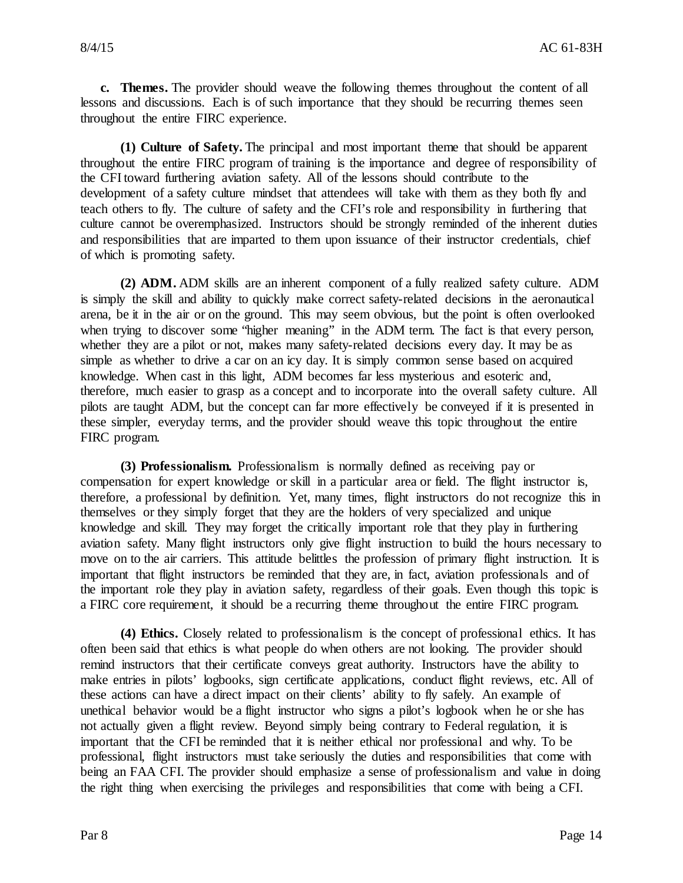**c. Themes.** The provider should weave the following themes throughout the content of all lessons and discussions. Each is of such importance that they should be recurring themes seen throughout the entire FIRC experience.

**(1) Culture of Safety.** The principal and most important theme that should be apparent throughout the entire FIRC program of training is the importance and degree of responsibility of the CFI toward furthering aviation safety. All of the lessons should contribute to the development of a safety culture mindset that attendees will take with them as they both fly and teach others to fly. The culture of safety and the CFI's role and responsibility in furthering that culture cannot be overemphasized. Instructors should be strongly reminded of the inherent duties and responsibilities that are imparted to them upon issuance of their instructor credentials, chief of which is promoting safety.

**(2) ADM.** ADM skills are an inherent component of a fully realized safety culture. ADM is simply the skill and ability to quickly make correct safety-related decisions in the aeronautical arena, be it in the air or on the ground. This may seem obvious, but the point is often overlooked when trying to discover some "higher meaning" in the ADM term. The fact is that every person, whether they are a pilot or not, makes many safety-related decisions every day. It may be as simple as whether to drive a car on an icy day. It is simply common sense based on acquired knowledge. When cast in this light, ADM becomes far less mysterious and esoteric and, therefore, much easier to grasp as a concept and to incorporate into the overall safety culture. All pilots are taught ADM, but the concept can far more effectively be conveyed if it is presented in these simpler, everyday terms, and the provider should weave this topic throughout the entire FIRC program.

**(3) Professionalism.** Professionalism is normally defined as receiving pay or compensation for expert knowledge or skill in a particular area or field. The flight instructor is, therefore, a professional by definition. Yet, many times, flight instructors do not recognize this in themselves or they simply forget that they are the holders of very specialized and unique knowledge and skill. They may forget the critically important role that they play in furthering aviation safety. Many flight instructors only give flight instruction to build the hours necessary to move on to the air carriers. This attitude belittles the profession of primary flight instruction. It is important that flight instructors be reminded that they are, in fact, aviation professionals and of the important role they play in aviation safety, regardless of their goals. Even though this topic is a FIRC core requirement, it should be a recurring theme throughout the entire FIRC program.

**(4) Ethics.** Closely related to professionalism is the concept of professional ethics. It has often been said that ethics is what people do when others are not looking. The provider should remind instructors that their certificate conveys great authority. Instructors have the ability to make entries in pilots' logbooks, sign certificate applications, conduct flight reviews, etc. All of these actions can have a direct impact on their clients' ability to fly safely. An example of unethical behavior would be a flight instructor who signs a pilot's logbook when he or she has not actually given a flight review. Beyond simply being contrary to Federal regulation, it is important that the CFI be reminded that it is neither ethical nor professional and why. To be professional, flight instructors must take seriously the duties and responsibilities that come with being an FAA CFI. The provider should emphasize a sense of professionalism and value in doing the right thing when exercising the privileges and responsibilities that come with being a CFI.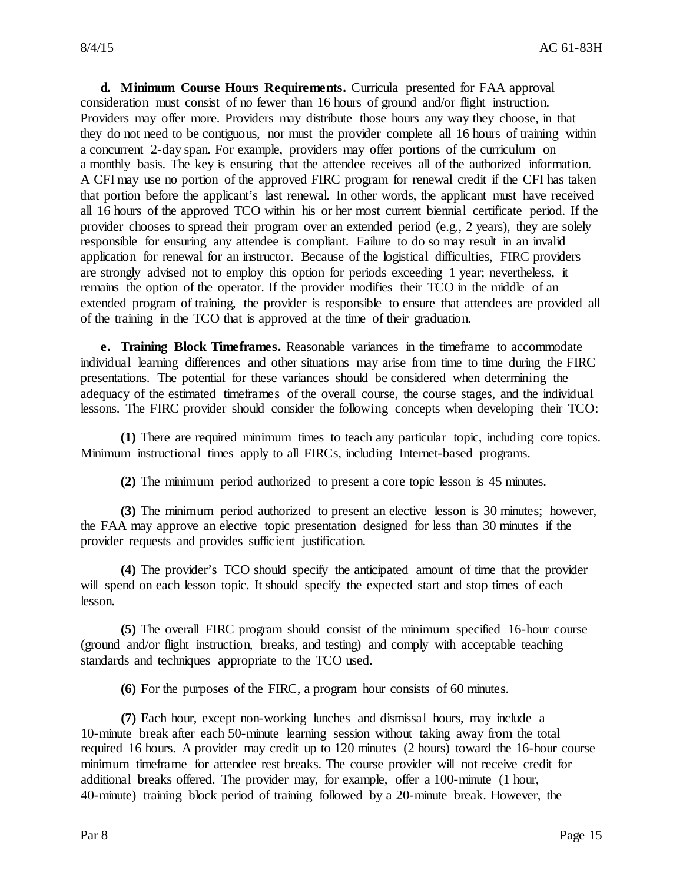**d. Minimum Course Hours Requirements.** Curricula presented for FAA approval consideration must consist of no fewer than 16 hours of ground and/or flight instruction. Providers may offer more. Providers may distribute those hours any way they choose, in that they do not need to be contiguous, nor must the provider complete all 16 hours of training within a concurrent 2-day span. For example, providers may offer portions of the curriculum on a monthly basis. The key is ensuring that the attendee receives all of the authorized information. A CFI may use no portion of the approved FIRC program for renewal credit if the CFI has taken that portion before the applicant's last renewal. In other words, the applicant must have received all 16 hours of the approved TCO within his or her most current biennial certificate period. If the provider chooses to spread their program over an extended period (e.g., 2 years), they are solely responsible for ensuring any attendee is compliant. Failure to do so may result in an invalid application for renewal for an instructor. Because of the logistical difficulties, FIRC providers are strongly advised not to employ this option for periods exceeding 1 year; nevertheless, it remains the option of the operator. If the provider modifies their TCO in the middle of an extended program of training, the provider is responsible to ensure that attendees are provided all of the training in the TCO that is approved at the time of their graduation.

**e. Training Block Timeframes.** Reasonable variances in the timeframe to accommodate individual learning differences and other situations may arise from time to time during the FIRC presentations. The potential for these variances should be considered when determining the adequacy of the estimated timeframes of the overall course, the course stages, and the individual lessons. The FIRC provider should consider the following concepts when developing their TCO:

**(1)** There are required minimum times to teach any particular topic, including core topics. Minimum instructional times apply to all FIRCs, including Internet-based programs.

**(2)** The minimum period authorized to present a core topic lesson is 45 minutes.

**(3)** The minimum period authorized to present an elective lesson is 30 minutes; however, the FAA may approve an elective topic presentation designed for less than 30 minutes if the provider requests and provides sufficient justification.

**(4)** The provider's TCO should specify the anticipated amount of time that the provider will spend on each lesson topic. It should specify the expected start and stop times of each lesson.

**(5)** The overall FIRC program should consist of the minimum specified 16-hour course (ground and/or flight instruction, breaks, and testing) and comply with acceptable teaching standards and techniques appropriate to the TCO used.

**(6)** For the purposes of the FIRC, a program hour consists of 60 minutes.

**(7)** Each hour, except non-working lunches and dismissal hours, may include a 10-minute break after each 50-minute learning session without taking away from the total required 16 hours. A provider may credit up to 120 minutes (2 hours) toward the 16-hour course minimum timeframe for attendee rest breaks. The course provider will not receive credit for additional breaks offered. The provider may, for example, offer a 100-minute (1 hour, 40-minute) training block period of training followed by a 20-minute break. However, the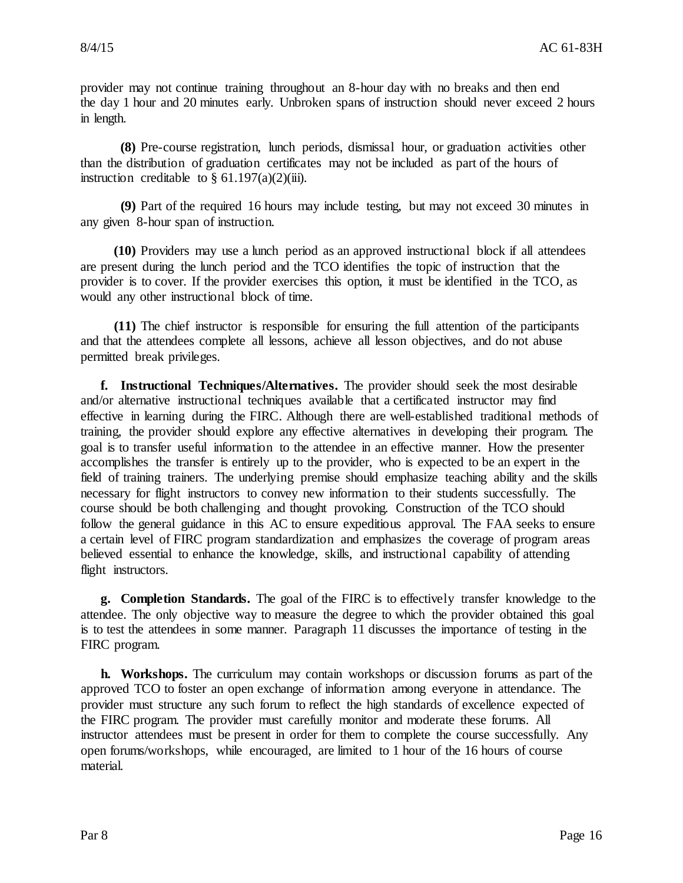provider may not continue training throughout an 8-hour day with no breaks and then end the day 1 hour and 20 minutes early. Unbroken spans of instruction should never exceed 2 hours in length.

**(8)** Pre-course registration, lunch periods, dismissal hour, or graduation activities other than the distribution of graduation certificates may not be included as part of the hours of instruction creditable to  $\S$  61.197(a)(2)(iii).

**(9)** Part of the required 16 hours may include testing, but may not exceed 30 minutes in any given 8-hour span of instruction.

**(10)** Providers may use a lunch period as an approved instructional block if all attendees are present during the lunch period and the TCO identifies the topic of instruction that the provider is to cover. If the provider exercises this option, it must be identified in the TCO, as would any other instructional block of time.

**(11)** The chief instructor is responsible for ensuring the full attention of the participants and that the attendees complete all lessons, achieve all lesson objectives, and do not abuse permitted break privileges.

**f. Instructional Techniques/Alternatives.** The provider should seek the most desirable and/or alternative instructional techniques available that a certificated instructor may find effective in learning during the FIRC. Although there are well-established traditional methods of training, the provider should explore any effective alternatives in developing their program. The goal is to transfer useful information to the attendee in an effective manner. How the presenter accomplishes the transfer is entirely up to the provider, who is expected to be an expert in the field of training trainers. The underlying premise should emphasize teaching ability and the skills necessary for flight instructors to convey new information to their students successfully. The course should be both challenging and thought provoking. Construction of the TCO should follow the general guidance in this AC to ensure expeditious approval. The FAA seeks to ensure a certain level of FIRC program standardization and emphasizes the coverage of program areas believed essential to enhance the knowledge, skills, and instructional capability of attending flight instructors.

**g. Completion Standards.** The goal of the FIRC is to effectively transfer knowledge to the attendee. The only objective way to measure the degree to which the provider obtained this goal is to test the attendees in some manner. Paragraph 11 discusses the importance of testing in the FIRC program.

**h. Workshops.** The curriculum may contain workshops or discussion forums as part of the approved TCO to foster an open exchange of information among everyone in attendance. The provider must structure any such forum to reflect the high standards of excellence expected of the FIRC program. The provider must carefully monitor and moderate these forums. All instructor attendees must be present in order for them to complete the course successfully. Any open forums/workshops, while encouraged, are limited to 1 hour of the 16 hours of course material.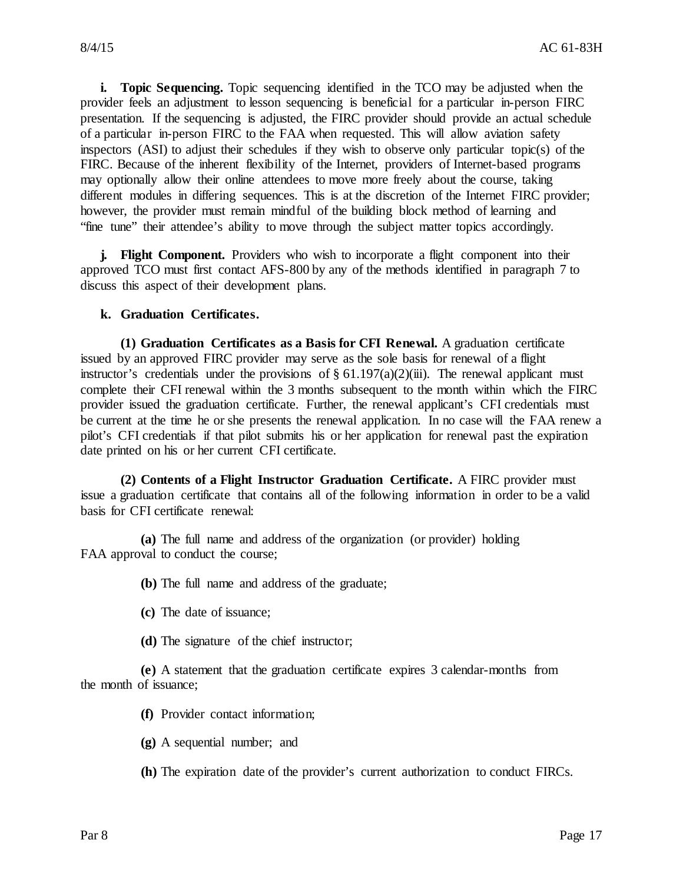**i. Topic Sequencing.** Topic sequencing identified in the TCO may be adjusted when the provider feels an adjustment to lesson sequencing is beneficial for a particular in-person FIRC presentation. If the sequencing is adjusted, the FIRC provider should provide an actual schedule of a particular in-person FIRC to the FAA when requested. This will allow aviation safety inspectors (ASI) to adjust their schedules if they wish to observe only particular topic(s) of the FIRC. Because of the inherent flexibility of the Internet, providers of Internet-based programs may optionally allow their online attendees to move more freely about the course, taking different modules in differing sequences. This is at the discretion of the Internet FIRC provider; however, the provider must remain mindful of the building block method of learning and "fine tune" their attendee's ability to move through the subject matter topics accordingly.

**j. Flight Component.** Providers who wish to incorporate a flight component into their approved TCO must first contact AFS-800 by any of the methods identified in paragraph 7 to discuss this aspect of their development plans.

#### **k. Graduation Certificates.**

**(1) Graduation Certificates as a Basis for CFI Renewal.** A graduation certificate issued by an approved FIRC provider may serve as the sole basis for renewal of a flight instructor's credentials under the provisions of  $\S 61.197(a)(2)(iii)$ . The renewal applicant must complete their CFI renewal within the 3 months subsequent to the month within which the FIRC provider issued the graduation certificate. Further, the renewal applicant's CFI credentials must be current at the time he or she presents the renewal application. In no case will the FAA renew a pilot's CFI credentials if that pilot submits his or her application for renewal past the expiration date printed on his or her current CFI certificate.

**(2) Contents of a Flight Instructor Graduation Certificate.** A FIRC provider must issue a graduation certificate that contains all of the following information in order to be a valid basis for CFI certificate renewal:

**(a)** The full name and address of the organization (or provider) holding FAA approval to conduct the course;

**(b)** The full name and address of the graduate;

- **(c)** The date of issuance;
- **(d)** The signature of the chief instructor;

**(e)** A statement that the graduation certificate expires 3 calendar-months from the month of issuance;

**(f)** Provider contact information;

**(g)** A sequential number; and

**(h)** The expiration date of the provider's current authorization to conduct FIRCs.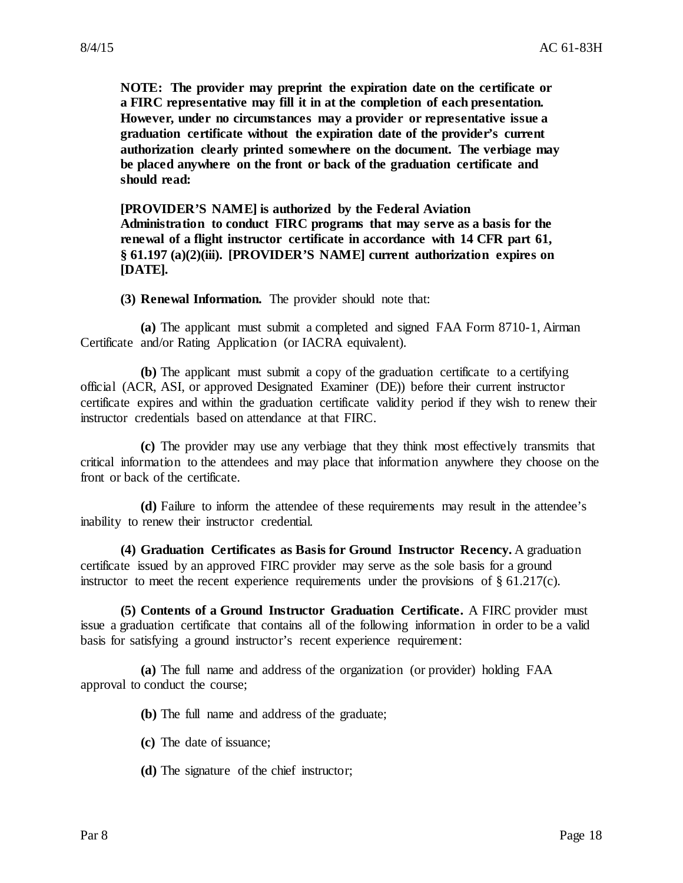**NOTE: The provider may preprint the expiration date on the certificate or a FIRC representative may fill it in at the completion of each presentation. However, under no circumstances may a provider or representative issue a graduation certificate without the expiration date of the provider's current authorization clearly printed somewhere on the document. The verbiage may be placed anywhere on the front or back of the graduation certificate and should read:**

**[PROVIDER'S NAME] is authorized by the Federal Aviation Administration to conduct FIRC programs that may serve as a basis for the renewal of a flight instructor certificate in accordance with 14 CFR part 61, § 61.197 (a)(2)(iii). [PROVIDER'S NAME] current authorization expires on [DATE].**

**(3) Renewal Information.** The provider should note that:

**(a)** The applicant must submit a completed and signed FAA Form 8710-1, Airman Certificate and/or Rating Application (or IACRA equivalent).

**(b)** The applicant must submit a copy of the graduation certificate to a certifying official (ACR, ASI, or approved Designated Examiner (DE)) before their current instructor certificate expires and within the graduation certificate validity period if they wish to renew their instructor credentials based on attendance at that FIRC.

**(c)** The provider may use any verbiage that they think most effectively transmits that critical information to the attendees and may place that information anywhere they choose on the front or back of the certificate.

**(d)** Failure to inform the attendee of these requirements may result in the attendee's inability to renew their instructor credential.

**(4) Graduation Certificates as Basis for Ground Instructor Recency.** A graduation certificate issued by an approved FIRC provider may serve as the sole basis for a ground instructor to meet the recent experience requirements under the provisions of § 61.217(c).

**(5) Contents of a Ground Instructor Graduation Certificate.** A FIRC provider must issue a graduation certificate that contains all of the following information in order to be a valid basis for satisfying a ground instructor's recent experience requirement:

**(a)** The full name and address of the organization (or provider) holding FAA approval to conduct the course;

**(b)** The full name and address of the graduate;

- **(c)** The date of issuance;
- **(d)** The signature of the chief instructor;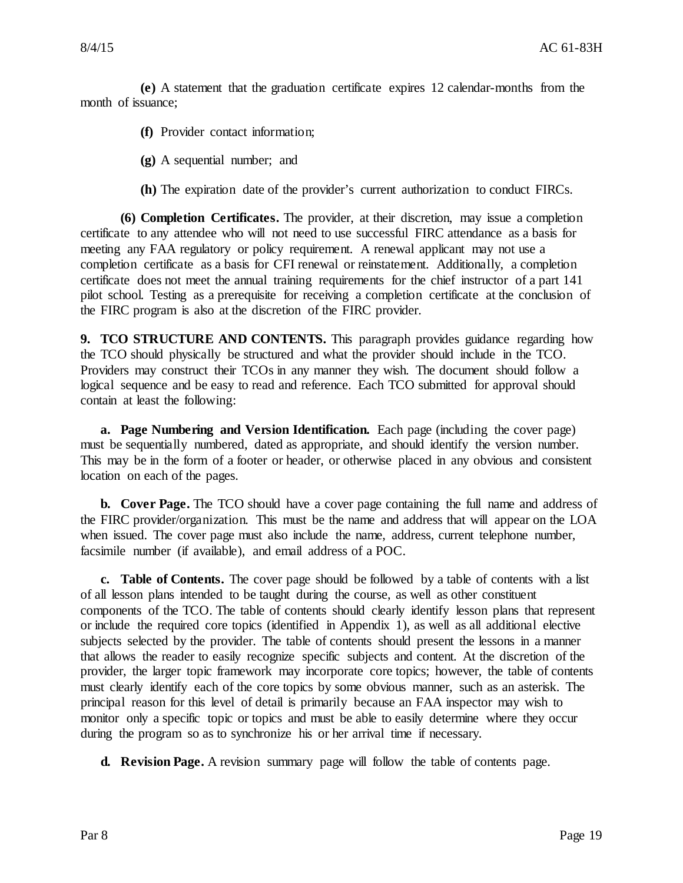**(e)** A statement that the graduation certificate expires 12 calendar-months from the month of issuance;

**(f)** Provider contact information;

**(g)** A sequential number; and

**(h)** The expiration date of the provider's current authorization to conduct FIRCs.

**(6) Completion Certificates.** The provider, at their discretion, may issue a completion certificate to any attendee who will not need to use successful FIRC attendance as a basis for meeting any FAA regulatory or policy requirement. A renewal applicant may not use a completion certificate as a basis for CFI renewal or reinstatement. Additionally, a completion certificate does not meet the annual training requirements for the chief instructor of a part 141 pilot school. Testing as a prerequisite for receiving a completion certificate at the conclusion of the FIRC program is also at the discretion of the FIRC provider.

**9. TCO STRUCTURE AND CONTENTS.** This paragraph provides guidance regarding how the TCO should physically be structured and what the provider should include in the TCO. Providers may construct their TCOs in any manner they wish. The document should follow a logical sequence and be easy to read and reference. Each TCO submitted for approval should contain at least the following:

**a. Page Numbering and Version Identification.** Each page (including the cover page) must be sequentially numbered, dated as appropriate, and should identify the version number. This may be in the form of a footer or header, or otherwise placed in any obvious and consistent location on each of the pages.

**b. Cover Page.** The TCO should have a cover page containing the full name and address of the FIRC provider/organization. This must be the name and address that will appear on the LOA when issued. The cover page must also include the name, address, current telephone number, facsimile number (if available), and email address of a POC.

**c. Table of Contents.** The cover page should be followed by a table of contents with a list of all lesson plans intended to be taught during the course, as well as other constituent components of the TCO. The table of contents should clearly identify lesson plans that represent or include the required core topics (identified in Appendix 1), as well as all additional elective subjects selected by the provider. The table of contents should present the lessons in a manner that allows the reader to easily recognize specific subjects and content. At the discretion of the provider, the larger topic framework may incorporate core topics; however, the table of contents must clearly identify each of the core topics by some obvious manner, such as an asterisk. The principal reason for this level of detail is primarily because an FAA inspector may wish to monitor only a specific topic or topics and must be able to easily determine where they occur during the program so as to synchronize his or her arrival time if necessary.

**d. Revision Page.** A revision summary page will follow the table of contents page.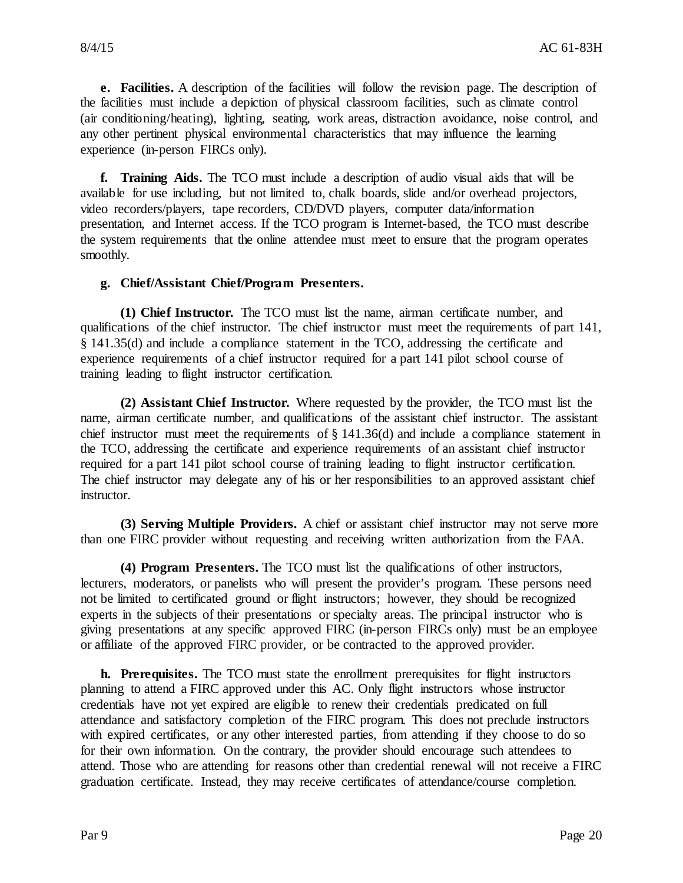**e. Facilities.** A description of the facilities will follow the revision page. The description of the facilities must include a depiction of physical classroom facilities, such as climate control (air conditioning/heating), lighting, seating, work areas, distraction avoidance, noise control, and any other pertinent physical environmental characteristics that may influence the learning experience (in-person FIRCs only).

**f. Training Aids.** The TCO must include a description of audio visual aids that will be available for use including, but not limited to, chalk boards, slide and/or overhead projectors, video recorders/players, tape recorders, CD/DVD players, computer data/information presentation, and Internet access. If the TCO program is Internet-based, the TCO must describe the system requirements that the online attendee must meet to ensure that the program operates smoothly.

#### **g. Chief/Assistant Chief/Program Presenters.**

**(1) Chief Instructor.** The TCO must list the name, airman certificate number, and qualifications of the chief instructor. The chief instructor must meet the requirements of part 141, § 141.35(d) and include a compliance statement in the TCO, addressing the certificate and experience requirements of a chief instructor required for a part 141 pilot school course of training leading to flight instructor certification.

**(2) Assistant Chief Instructor.** Where requested by the provider, the TCO must list the name, airman certificate number, and qualifications of the assistant chief instructor. The assistant chief instructor must meet the requirements of § 141.36(d) and include a compliance statement in the TCO, addressing the certificate and experience requirements of an assistant chief instructor required for a part 141 pilot school course of training leading to flight instructor certification. The chief instructor may delegate any of his or her responsibilities to an approved assistant chief instructor.

**(3) Serving Multiple Providers.** A chief or assistant chief instructor may not serve more than one FIRC provider without requesting and receiving written authorization from the FAA.

**(4) Program Presenters.** The TCO must list the qualifications of other instructors, lecturers, moderators, or panelists who will present the provider's program. These persons need not be limited to certificated ground or flight instructors; however, they should be recognized experts in the subjects of their presentations or specialty areas. The principal instructor who is giving presentations at any specific approved FIRC (in-person FIRCs only) must be an employee or affiliate of the approved FIRC provider, or be contracted to the approved provider.

**h. Prerequisites.** The TCO must state the enrollment prerequisites for flight instructors planning to attend a FIRC approved under this AC. Only flight instructors whose instructor credentials have not yet expired are eligible to renew their credentials predicated on full attendance and satisfactory completion of the FIRC program. This does not preclude instructors with expired certificates, or any other interested parties, from attending if they choose to do so for their own information. On the contrary, the provider should encourage such attendees to attend. Those who are attending for reasons other than credential renewal will not receive a FIRC graduation certificate. Instead, they may receive certificates of attendance/course completion.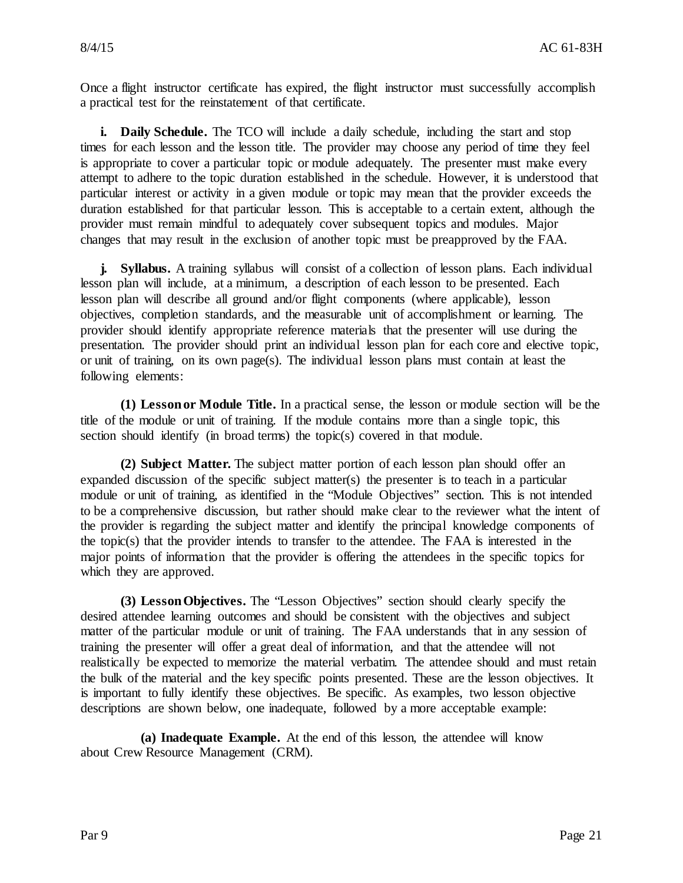Once a flight instructor certificate has expired, the flight instructor must successfully accomplish a practical test for the reinstatement of that certificate.

**i. Daily Schedule.** The TCO will include a daily schedule, including the start and stop times for each lesson and the lesson title. The provider may choose any period of time they feel is appropriate to cover a particular topic or module adequately. The presenter must make every attempt to adhere to the topic duration established in the schedule. However, it is understood that particular interest or activity in a given module or topic may mean that the provider exceeds the duration established for that particular lesson. This is acceptable to a certain extent, although the provider must remain mindful to adequately cover subsequent topics and modules. Major changes that may result in the exclusion of another topic must be preapproved by the FAA.

**j. Syllabus.** A training syllabus will consist of a collection of lesson plans. Each individual lesson plan will include, at a minimum, a description of each lesson to be presented. Each lesson plan will describe all ground and/or flight components (where applicable), lesson objectives, completion standards, and the measurable unit of accomplishment or learning. The provider should identify appropriate reference materials that the presenter will use during the presentation. The provider should print an individual lesson plan for each core and elective topic, or unit of training, on its own page(s). The individual lesson plans must contain at least the following elements:

**(1) Lesson or Module Title.** In a practical sense, the lesson or module section will be the title of the module or unit of training. If the module contains more than a single topic, this section should identify (in broad terms) the topic(s) covered in that module.

**(2) Subject Matter.** The subject matter portion of each lesson plan should offer an expanded discussion of the specific subject matter(s) the presenter is to teach in a particular module or unit of training, as identified in the "Module Objectives" section. This is not intended to be a comprehensive discussion, but rather should make clear to the reviewer what the intent of the provider is regarding the subject matter and identify the principal knowledge components of the topic(s) that the provider intends to transfer to the attendee. The FAA is interested in the major points of information that the provider is offering the attendees in the specific topics for which they are approved.

**(3) Lesson Objectives.** The "Lesson Objectives" section should clearly specify the desired attendee learning outcomes and should be consistent with the objectives and subject matter of the particular module or unit of training. The FAA understands that in any session of training the presenter will offer a great deal of information, and that the attendee will not realistically be expected to memorize the material verbatim. The attendee should and must retain the bulk of the material and the key specific points presented. These are the lesson objectives. It is important to fully identify these objectives. Be specific. As examples, two lesson objective descriptions are shown below, one inadequate, followed by a more acceptable example:

**(a) Inadequate Example.** At the end of this lesson, the attendee will know about Crew Resource Management (CRM).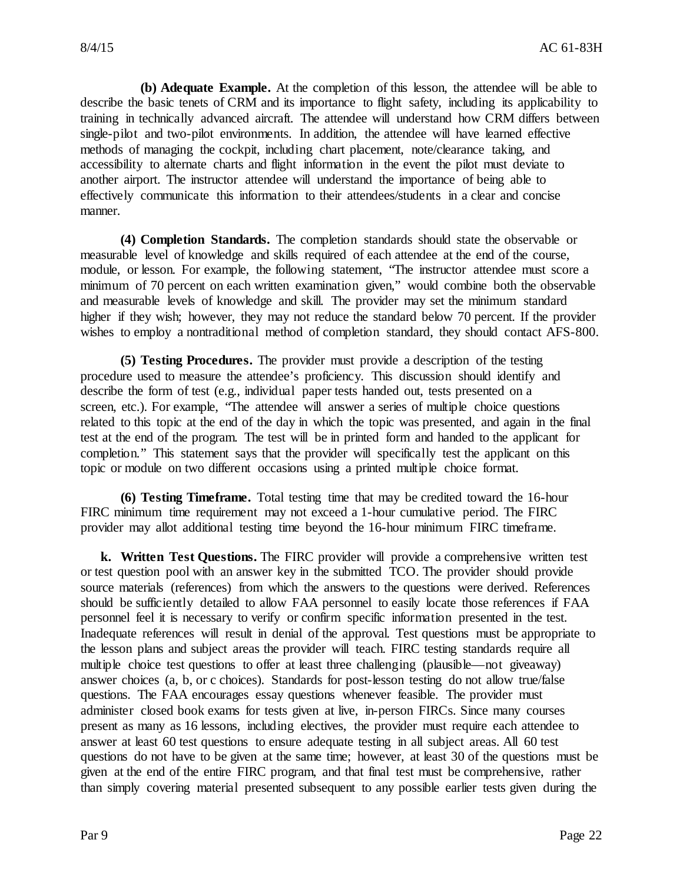**(b) Adequate Example.** At the completion of this lesson, the attendee will be able to describe the basic tenets of CRM and its importance to flight safety, including its applicability to training in technically advanced aircraft. The attendee will understand how CRM differs between single-pilot and two-pilot environments. In addition, the attendee will have learned effective methods of managing the cockpit, including chart placement, note/clearance taking, and accessibility to alternate charts and flight information in the event the pilot must deviate to another airport. The instructor attendee will understand the importance of being able to effectively communicate this information to their attendees/students in a clear and concise manner.

**(4) Completion Standards.** The completion standards should state the observable or measurable level of knowledge and skills required of each attendee at the end of the course, module, or lesson. For example, the following statement, "The instructor attendee must score a minimum of 70 percent on each written examination given," would combine both the observable and measurable levels of knowledge and skill. The provider may set the minimum standard higher if they wish; however, they may not reduce the standard below 70 percent. If the provider wishes to employ a nontraditional method of completion standard, they should contact AFS-800.

**(5) Testing Procedures.** The provider must provide a description of the testing procedure used to measure the attendee's proficiency. This discussion should identify and describe the form of test (e.g., individual paper tests handed out, tests presented on a screen, etc.). For example, "The attendee will answer a series of multiple choice questions related to this topic at the end of the day in which the topic was presented, and again in the final test at the end of the program. The test will be in printed form and handed to the applicant for completion." This statement says that the provider will specifically test the applicant on this topic or module on two different occasions using a printed multiple choice format.

**(6) Testing Timeframe.** Total testing time that may be credited toward the 16-hour FIRC minimum time requirement may not exceed a 1-hour cumulative period. The FIRC provider may allot additional testing time beyond the 16-hour minimum FIRC timeframe.

**k. Written Test Questions.** The FIRC provider will provide a comprehensive written test or test question pool with an answer key in the submitted TCO. The provider should provide source materials (references) from which the answers to the questions were derived. References should be sufficiently detailed to allow FAA personnel to easily locate those references if FAA personnel feel it is necessary to verify or confirm specific information presented in the test. Inadequate references will result in denial of the approval. Test questions must be appropriate to the lesson plans and subject areas the provider will teach. FIRC testing standards require all multiple choice test questions to offer at least three challenging (plausible—not giveaway) answer choices (a, b, or c choices). Standards for post-lesson testing do not allow true/false questions. The FAA encourages essay questions whenever feasible. The provider must administer closed book exams for tests given at live, in-person FIRCs. Since many courses present as many as 16 lessons, including electives, the provider must require each attendee to answer at least 60 test questions to ensure adequate testing in all subject areas. All 60 test questions do not have to be given at the same time; however, at least 30 of the questions must be given at the end of the entire FIRC program, and that final test must be comprehensive, rather than simply covering material presented subsequent to any possible earlier tests given during the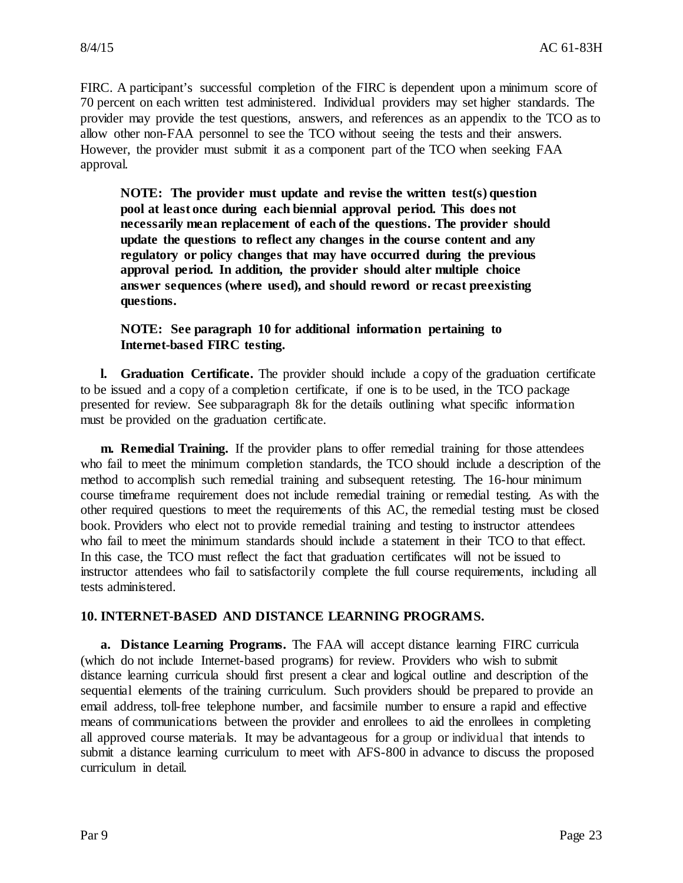FIRC. A participant's successful completion of the FIRC is dependent upon a minimum score of 70 percent on each written test administered. Individual providers may set higher standards. The provider may provide the test questions, answers, and references as an appendix to the TCO as to allow other non-FAA personnel to see the TCO without seeing the tests and their answers. However, the provider must submit it as a component part of the TCO when seeking FAA approval.

**NOTE: The provider must update and revise the written test(s) question pool at least once during each biennial approval period. This does not necessarily mean replacement of each of the questions. The provider should update the questions to reflect any changes in the course content and any regulatory or policy changes that may have occurred during the previous approval period. In addition, the provider should alter multiple choice answer sequences (where used), and should reword or recast preexisting questions.**

**NOTE: See paragraph 10 for additional information pertaining to Internet-based FIRC testing.**

**l. Graduation Certificate.** The provider should include a copy of the graduation certificate to be issued and a copy of a completion certificate, if one is to be used, in the TCO package presented for review. See subparagraph 8k for the details outlining what specific information must be provided on the graduation certificate.

**m. Remedial Training.** If the provider plans to offer remedial training for those attendees who fail to meet the minimum completion standards, the TCO should include a description of the method to accomplish such remedial training and subsequent retesting. The 16-hour minimum course timeframe requirement does not include remedial training or remedial testing. As with the other required questions to meet the requirements of this AC, the remedial testing must be closed book. Providers who elect not to provide remedial training and testing to instructor attendees who fail to meet the minimum standards should include a statement in their TCO to that effect. In this case, the TCO must reflect the fact that graduation certificates will not be issued to instructor attendees who fail to satisfactorily complete the full course requirements, including all tests administered.

#### **10. INTERNET-BASED AND DISTANCE LEARNING PROGRAMS.**

**a. Distance Learning Programs.** The FAA will accept distance learning FIRC curricula (which do not include Internet-based programs) for review. Providers who wish to submit distance learning curricula should first present a clear and logical outline and description of the sequential elements of the training curriculum. Such providers should be prepared to provide an email address, toll-free telephone number, and facsimile number to ensure a rapid and effective means of communications between the provider and enrollees to aid the enrollees in completing all approved course materials. It may be advantageous for a group or individual that intends to submit a distance learning curriculum to meet with AFS-800 in advance to discuss the proposed curriculum in detail.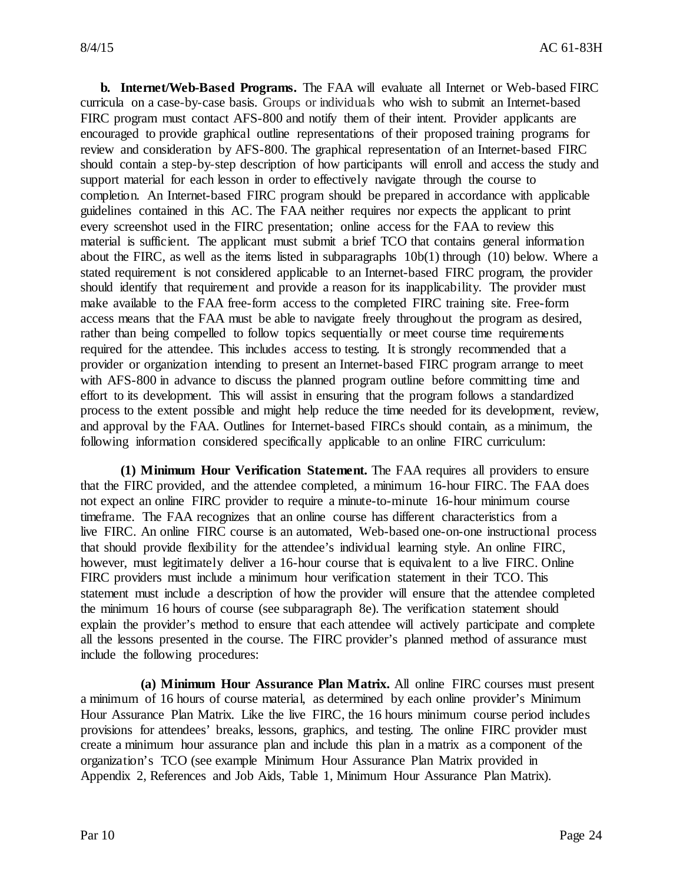**b. Internet/Web-Based Programs.** The FAA will evaluate all Internet or Web-based FIRC curricula on a case-by-case basis. Groups or individuals who wish to submit an Internet-based FIRC program must contact AFS-800 and notify them of their intent. Provider applicants are encouraged to provide graphical outline representations of their proposed training programs for review and consideration by AFS-800. The graphical representation of an Internet-based FIRC should contain a step-by-step description of how participants will enroll and access the study and support material for each lesson in order to effectively navigate through the course to completion. An Internet-based FIRC program should be prepared in accordance with applicable guidelines contained in this AC. The FAA neither requires nor expects the applicant to print every screenshot used in the FIRC presentation; online access for the FAA to review this material is sufficient. The applicant must submit a brief TCO that contains general information about the FIRC, as well as the items listed in subparagraphs 10b(1) through (10) below. Where a stated requirement is not considered applicable to an Internet-based FIRC program, the provider should identify that requirement and provide a reason for its inapplicability. The provider must make available to the FAA free-form access to the completed FIRC training site. Free-form access means that the FAA must be able to navigate freely throughout the program as desired, rather than being compelled to follow topics sequentially or meet course time requirements required for the attendee. This includes access to testing. It is strongly recommended that a provider or organization intending to present an Internet-based FIRC program arrange to meet with AFS-800 in advance to discuss the planned program outline before committing time and effort to its development. This will assist in ensuring that the program follows a standardized process to the extent possible and might help reduce the time needed for its development, review, and approval by the FAA. Outlines for Internet-based FIRCs should contain, as a minimum, the following information considered specifically applicable to an online FIRC curriculum:

**(1) Minimum Hour Verification Statement.** The FAA requires all providers to ensure that the FIRC provided, and the attendee completed, a minimum 16-hour FIRC. The FAA does not expect an online FIRC provider to require a minute-to-minute 16-hour minimum course timeframe. The FAA recognizes that an online course has different characteristics from a live FIRC. An online FIRC course is an automated, Web-based one-on-one instructional process that should provide flexibility for the attendee's individual learning style. An online FIRC, however, must legitimately deliver a 16-hour course that is equivalent to a live FIRC. Online FIRC providers must include a minimum hour verification statement in their TCO. This statement must include a description of how the provider will ensure that the attendee completed the minimum 16 hours of course (see subparagraph 8e). The verification statement should explain the provider's method to ensure that each attendee will actively participate and complete all the lessons presented in the course. The FIRC provider's planned method of assurance must include the following procedures:

**(a) Minimum Hour Assurance Plan Matrix.** All online FIRC courses must present a minimum of 16 hours of course material, as determined by each online provider's Minimum Hour Assurance Plan Matrix. Like the live FIRC, the 16 hours minimum course period includes provisions for attendees' breaks, lessons, graphics, and testing. The online FIRC provider must create a minimum hour assurance plan and include this plan in a matrix as a component of the organization's TCO (see example Minimum Hour Assurance Plan Matrix provided in Appendix 2, References and Job Aids, Table 1, Minimum Hour Assurance Plan Matrix).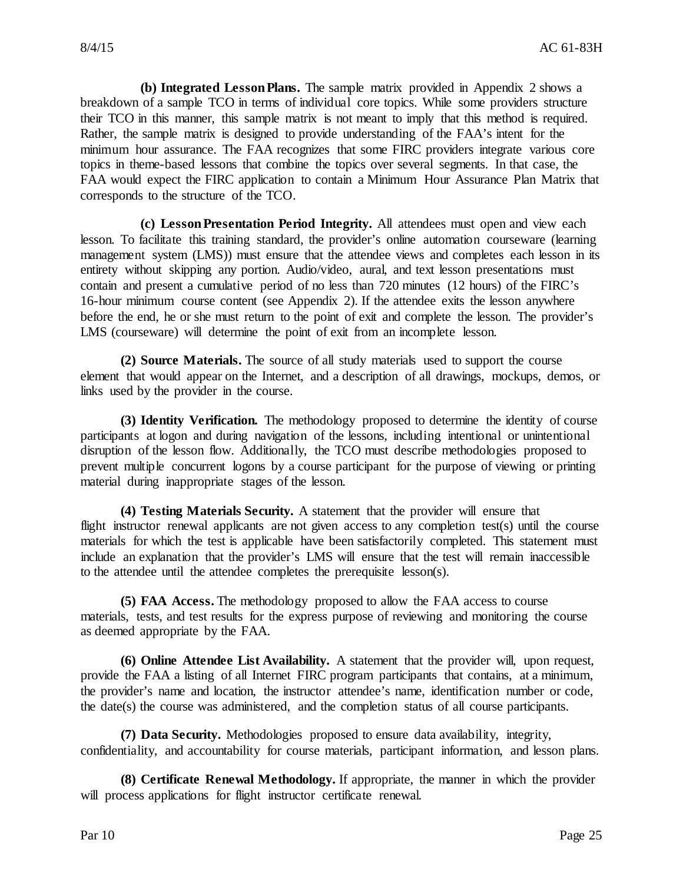**(b) Integrated Lesson Plans.** The sample matrix provided in Appendix 2 shows a breakdown of a sample TCO in terms of individual core topics. While some providers structure their TCO in this manner, this sample matrix is not meant to imply that this method is required. Rather, the sample matrix is designed to provide understanding of the FAA's intent for the minimum hour assurance. The FAA recognizes that some FIRC providers integrate various core topics in theme-based lessons that combine the topics over several segments. In that case, the FAA would expect the FIRC application to contain a Minimum Hour Assurance Plan Matrix that corresponds to the structure of the TCO.

**(c) Lesson Presentation Period Integrity.** All attendees must open and view each lesson. To facilitate this training standard, the provider's online automation courseware (learning management system (LMS)) must ensure that the attendee views and completes each lesson in its entirety without skipping any portion. Audio/video, aural, and text lesson presentations must contain and present a cumulative period of no less than 720 minutes (12 hours) of the FIRC's 16-hour minimum course content (see Appendix 2). If the attendee exits the lesson anywhere before the end, he or she must return to the point of exit and complete the lesson. The provider's LMS (courseware) will determine the point of exit from an incomplete lesson.

**(2) Source Materials.** The source of all study materials used to support the course element that would appear on the Internet, and a description of all drawings, mockups, demos, or links used by the provider in the course.

**(3) Identity Verification.** The methodology proposed to determine the identity of course participants at logon and during navigation of the lessons, including intentional or unintentional disruption of the lesson flow. Additionally, the TCO must describe methodologies proposed to prevent multiple concurrent logons by a course participant for the purpose of viewing or printing material during inappropriate stages of the lesson.

**(4) Testing Materials Security.** A statement that the provider will ensure that flight instructor renewal applicants are not given access to any completion test(s) until the course materials for which the test is applicable have been satisfactorily completed. This statement must include an explanation that the provider's LMS will ensure that the test will remain inaccessible to the attendee until the attendee completes the prerequisite lesson(s).

**(5) FAA Access.** The methodology proposed to allow the FAA access to course materials, tests, and test results for the express purpose of reviewing and monitoring the course as deemed appropriate by the FAA.

**(6) Online Attendee List Availability.** A statement that the provider will, upon request, provide the FAA a listing of all Internet FIRC program participants that contains, at a minimum, the provider's name and location, the instructor attendee's name, identification number or code, the date(s) the course was administered, and the completion status of all course participants.

**(7) Data Security.** Methodologies proposed to ensure data availability, integrity, confidentiality, and accountability for course materials, participant information, and lesson plans.

**(8) Certificate Renewal Methodology.** If appropriate, the manner in which the provider will process applications for flight instructor certificate renewal.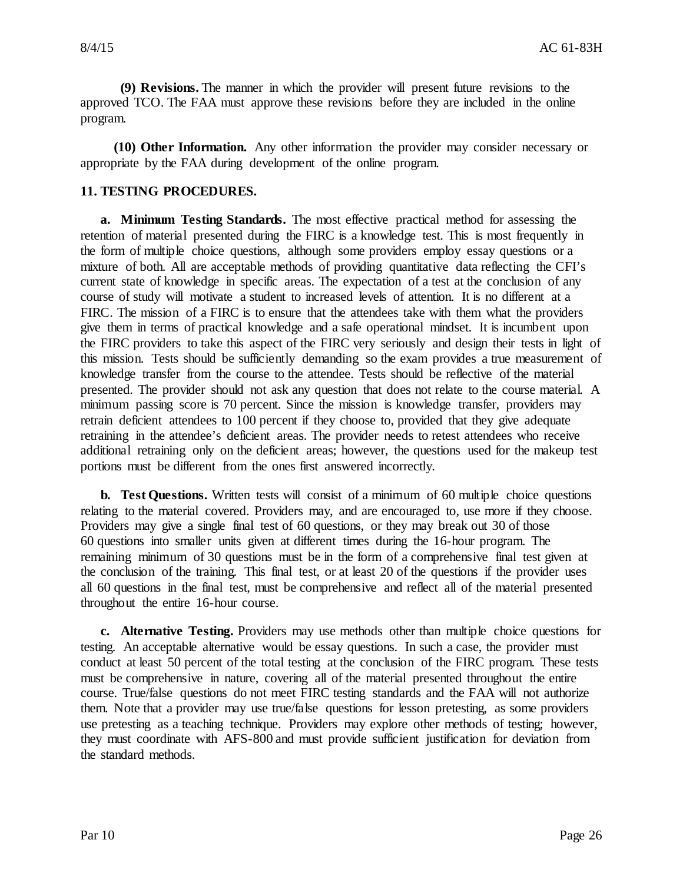**(9) Revisions.** The manner in which the provider will present future revisions to the approved TCO. The FAA must approve these revisions before they are included in the online program.

**(10) Other Information.** Any other information the provider may consider necessary or appropriate by the FAA during development of the online program.

#### **11. TESTING PROCEDURES.**

**a. Minimum Testing Standards.** The most effective practical method for assessing the retention of material presented during the FIRC is a knowledge test. This is most frequently in the form of multiple choice questions, although some providers employ essay questions or a mixture of both. All are acceptable methods of providing quantitative data reflecting the CFI's current state of knowledge in specific areas. The expectation of a test at the conclusion of any course of study will motivate a student to increased levels of attention. It is no different at a FIRC. The mission of a FIRC is to ensure that the attendees take with them what the providers give them in terms of practical knowledge and a safe operational mindset. It is incumbent upon the FIRC providers to take this aspect of the FIRC very seriously and design their tests in light of this mission. Tests should be sufficiently demanding so the exam provides a true measurement of knowledge transfer from the course to the attendee. Tests should be reflective of the material presented. The provider should not ask any question that does not relate to the course material. A minimum passing score is 70 percent. Since the mission is knowledge transfer, providers may retrain deficient attendees to 100 percent if they choose to, provided that they give adequate retraining in the attendee's deficient areas. The provider needs to retest attendees who receive additional retraining only on the deficient areas; however, the questions used for the makeup test portions must be different from the ones first answered incorrectly.

**b. Test Questions.** Written tests will consist of a minimum of 60 multiple choice questions relating to the material covered. Providers may, and are encouraged to, use more if they choose. Providers may give a single final test of 60 questions, or they may break out 30 of those 60 questions into smaller units given at different times during the 16-hour program. The remaining minimum of 30 questions must be in the form of a comprehensive final test given at the conclusion of the training. This final test, or at least 20 of the questions if the provider uses all 60 questions in the final test, must be comprehensive and reflect all of the material presented throughout the entire 16-hour course.

**c. Alternative Testing.** Providers may use methods other than multiple choice questions for testing. An acceptable alternative would be essay questions. In such a case, the provider must conduct at least 50 percent of the total testing at the conclusion of the FIRC program. These tests must be comprehensive in nature, covering all of the material presented throughout the entire course. True/false questions do not meet FIRC testing standards and the FAA will not authorize them. Note that a provider may use true/false questions for lesson pretesting, as some providers use pretesting as a teaching technique. Providers may explore other methods of testing; however, they must coordinate with AFS-800 and must provide sufficient justification for deviation from the standard methods.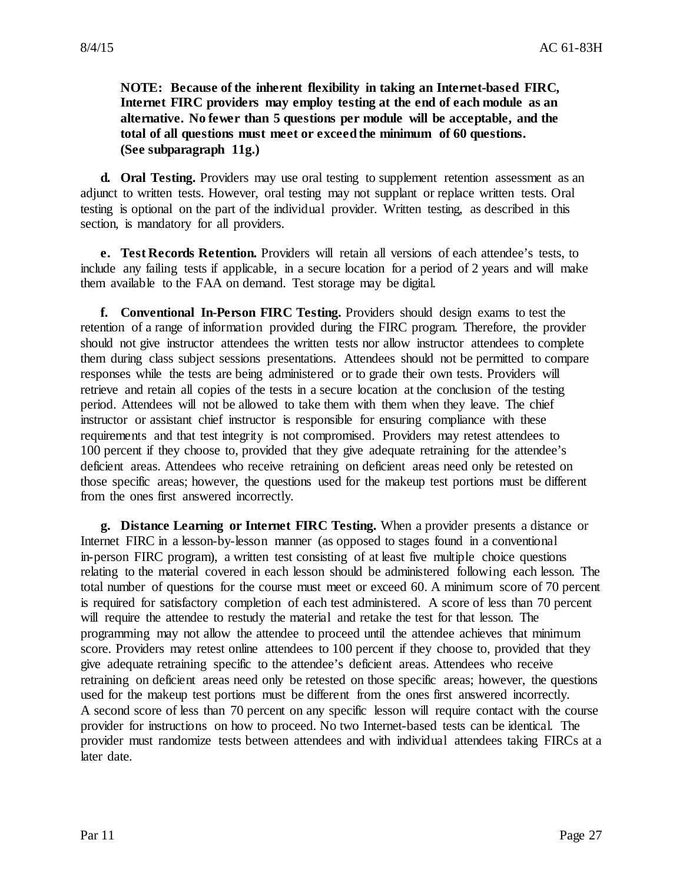**NOTE: Because of the inherent flexibility in taking an Internet-based FIRC, Internet FIRC providers may employ testing at the end of each module as an alternative. No fewer than 5 questions per module will be acceptable, and the total of all questions must meet or exceed the minimum of 60 questions. (See subparagraph 11g.)**

**d. Oral Testing.** Providers may use oral testing to supplement retention assessment as an adjunct to written tests. However, oral testing may not supplant or replace written tests. Oral testing is optional on the part of the individual provider. Written testing, as described in this section, is mandatory for all providers.

**e. Test Records Retention.** Providers will retain all versions of each attendee's tests, to include any failing tests if applicable, in a secure location for a period of 2 years and will make them available to the FAA on demand. Test storage may be digital.

**f. Conventional In-Person FIRC Testing.** Providers should design exams to test the retention of a range of information provided during the FIRC program. Therefore, the provider should not give instructor attendees the written tests nor allow instructor attendees to complete them during class subject sessions presentations. Attendees should not be permitted to compare responses while the tests are being administered or to grade their own tests. Providers will retrieve and retain all copies of the tests in a secure location at the conclusion of the testing period. Attendees will not be allowed to take them with them when they leave. The chief instructor or assistant chief instructor is responsible for ensuring compliance with these requirements and that test integrity is not compromised. Providers may retest attendees to 100 percent if they choose to, provided that they give adequate retraining for the attendee's deficient areas. Attendees who receive retraining on deficient areas need only be retested on those specific areas; however, the questions used for the makeup test portions must be different from the ones first answered incorrectly.

**g. Distance Learning or Internet FIRC Testing.** When a provider presents a distance or Internet FIRC in a lesson-by-lesson manner (as opposed to stages found in a conventional in-person FIRC program), a written test consisting of at least five multiple choice questions relating to the material covered in each lesson should be administered following each lesson. The total number of questions for the course must meet or exceed 60. A minimum score of 70 percent is required for satisfactory completion of each test administered. A score of less than 70 percent will require the attendee to restudy the material and retake the test for that lesson. The programming may not allow the attendee to proceed until the attendee achieves that minimum score. Providers may retest online attendees to 100 percent if they choose to, provided that they give adequate retraining specific to the attendee's deficient areas. Attendees who receive retraining on deficient areas need only be retested on those specific areas; however, the questions used for the makeup test portions must be different from the ones first answered incorrectly. A second score of less than 70 percent on any specific lesson will require contact with the course provider for instructions on how to proceed. No two Internet-based tests can be identical. The provider must randomize tests between attendees and with individual attendees taking FIRCs at a later date.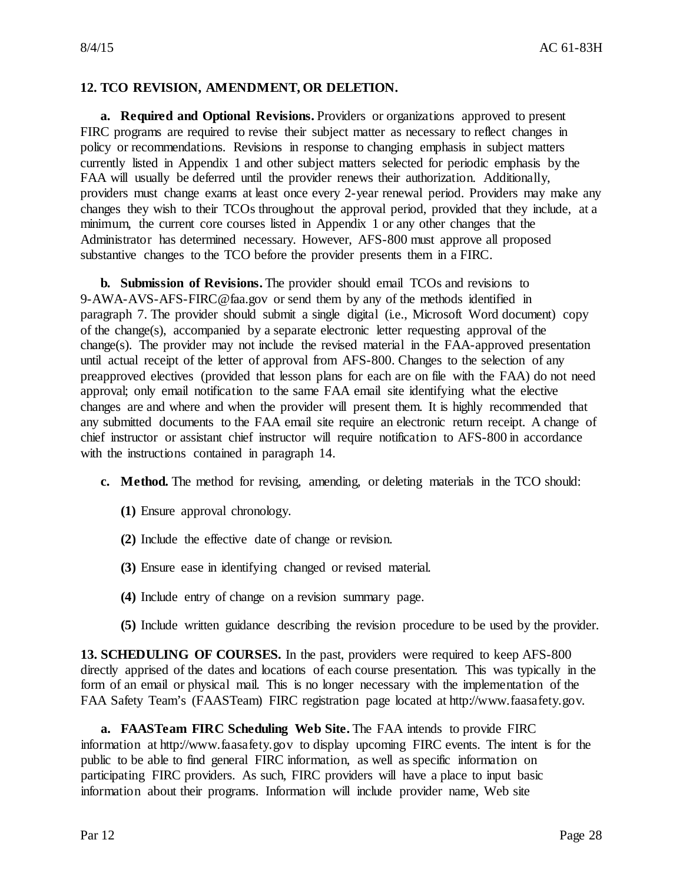#### **12. TCO REVISION, AMENDMENT, OR DELETION.**

**a. Required and Optional Revisions.** Providers or organizations approved to present FIRC programs are required to revise their subject matter as necessary to reflect changes in policy or recommendations. Revisions in response to changing emphasis in subject matters currently listed in Appendix 1 and other subject matters selected for periodic emphasis by the FAA will usually be deferred until the provider renews their authorization. Additionally, providers must change exams at least once every 2-year renewal period. Providers may make any changes they wish to their TCOs throughout the approval period, provided that they include, at a minimum, the current core courses listed in Appendix 1 or any other changes that the Administrator has determined necessary. However, AFS-800 must approve all proposed substantive changes to the TCO before the provider presents them in a FIRC.

**b. Submission of Revisions.** The provider should email TCOs and revisions to 9-AWA-AVS-AFS-FIRC@faa.gov or send them by any of the methods identified in paragraph 7. The provider should submit a single digital (i.e., Microsoft Word document) copy of the change(s), accompanied by a separate electronic letter requesting approval of the change(s). The provider may not include the revised material in the FAA-approved presentation until actual receipt of the letter of approval from AFS-800. Changes to the selection of any preapproved electives (provided that lesson plans for each are on file with the FAA) do not need approval; only email notification to the same FAA email site identifying what the elective changes are and where and when the provider will present them. It is highly recommended that any submitted documents to the FAA email site require an electronic return receipt. A change of chief instructor or assistant chief instructor will require notification to AFS-800 in accordance with the instructions contained in paragraph 14.

- **c. Method.** The method for revising, amending, or deleting materials in the TCO should:
	- **(1)** Ensure approval chronology.
	- **(2)** Include the effective date of change or revision.
	- **(3)** Ensure ease in identifying changed or revised material.
	- **(4)** Include entry of change on a revision summary page.
	- **(5)** Include written guidance describing the revision procedure to be used by the provider.

**13. SCHEDULING OF COURSES.** In the past, providers were required to keep AFS-800 directly apprised of the dates and locations of each course presentation. This was typically in the form of an email or physical mail. This is no longer necessary with the implementation of the FAA Safety Team's (FAASTeam) FIRC registration page located at http://www.faasafety.gov.

**a. FAASTeam FIRC Scheduling Web Site.** The FAA intends to provide FIRC information at http://www.faasafety.gov to display upcoming FIRC events. The intent is for the public to be able to find general FIRC information, as well as specific information on participating FIRC providers. As such, FIRC providers will have a place to input basic information about their programs. Information will include provider name, Web site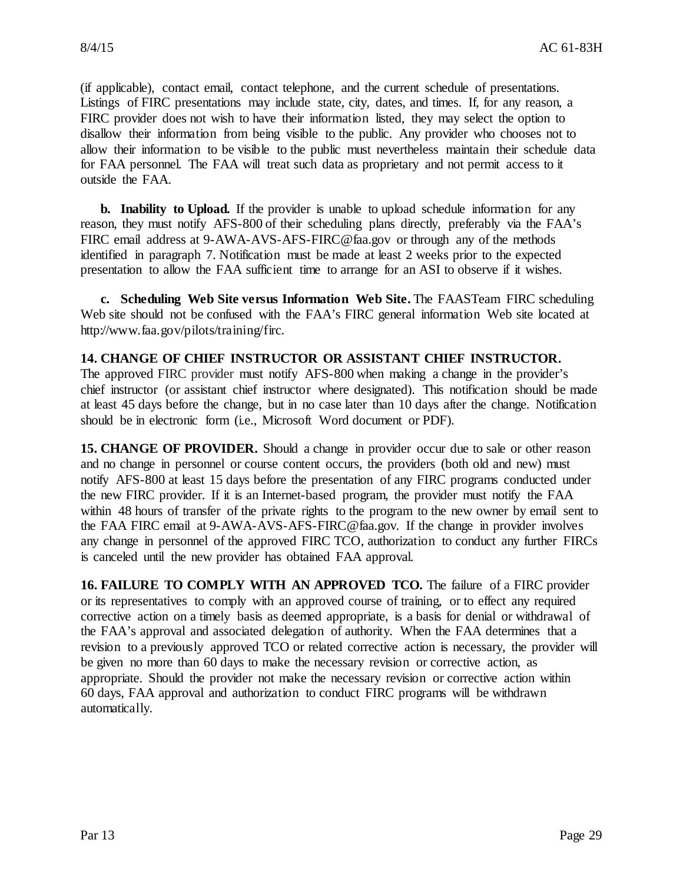(if applicable), contact email, contact telephone, and the current schedule of presentations. Listings of FIRC presentations may include state, city, dates, and times. If, for any reason, a FIRC provider does not wish to have their information listed, they may select the option to disallow their information from being visible to the public. Any provider who chooses not to allow their information to be visible to the public must nevertheless maintain their schedule data for FAA personnel. The FAA will treat such data as proprietary and not permit access to it outside the FAA.

**b. Inability to Upload.** If the provider is unable to upload schedule information for any reason, they must notify AFS-800 of their scheduling plans directly, preferably via the FAA's FIRC email address at 9-AWA-AVS-AFS-FIRC@faa.gov or through any of the methods identified in paragraph 7. Notification must be made at least 2 weeks prior to the expected presentation to allow the FAA sufficient time to arrange for an ASI to observe if it wishes.

**c. Scheduling Web Site versus Information Web Site.** The FAASTeam FIRC scheduling Web site should not be confused with the FAA's FIRC general information Web site located at http://www.faa.gov/pilots/training/firc.

#### **14. CHANGE OF CHIEF INSTRUCTOR OR ASSISTANT CHIEF INSTRUCTOR.**

The approved FIRC provider must notify AFS-800 when making a change in the provider's chief instructor (or assistant chief instructor where designated). This notification should be made at least 45 days before the change, but in no case later than 10 days after the change. Notification should be in electronic form (i.e., Microsoft Word document or PDF).

**15. CHANGE OF PROVIDER.** Should a change in provider occur due to sale or other reason and no change in personnel or course content occurs, the providers (both old and new) must notify AFS-800 at least 15 days before the presentation of any FIRC programs conducted under the new FIRC provider. If it is an Internet-based program, the provider must notify the FAA within 48 hours of transfer of the private rights to the program to the new owner by email sent to the FAA FIRC email at 9-AWA-AVS-AFS-FIRC@faa.gov. If the change in provider involves any change in personnel of the approved FIRC TCO, authorization to conduct any further FIRCs is canceled until the new provider has obtained FAA approval.

**16. FAILURE TO COMPLY WITH AN APPROVED TCO.** The failure of a FIRC provider or its representatives to comply with an approved course of training, or to effect any required corrective action on a timely basis as deemed appropriate, is a basis for denial or withdrawal of the FAA's approval and associated delegation of authority. When the FAA determines that a revision to a previously approved TCO or related corrective action is necessary, the provider will be given no more than 60 days to make the necessary revision or corrective action, as appropriate. Should the provider not make the necessary revision or corrective action within 60 days, FAA approval and authorization to conduct FIRC programs will be withdrawn automatically.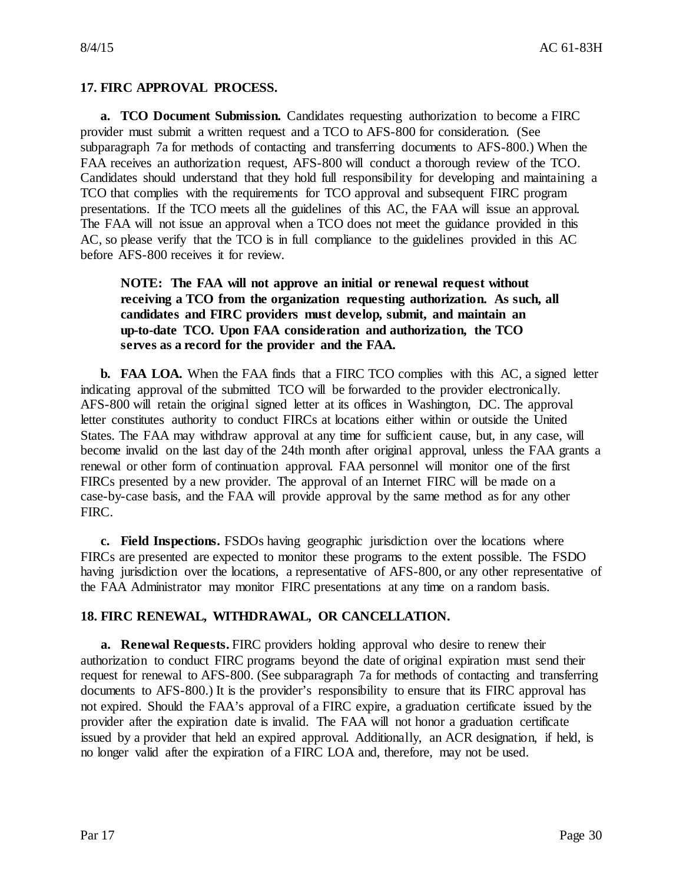#### **17. FIRC APPROVAL PROCESS.**

**a. TCO Document Submission.** Candidates requesting authorization to become a FIRC provider must submit a written request and a TCO to AFS-800 for consideration. (See subparagraph 7a for methods of contacting and transferring documents to AFS-800.) When the FAA receives an authorization request, AFS-800 will conduct a thorough review of the TCO. Candidates should understand that they hold full responsibility for developing and maintaining a TCO that complies with the requirements for TCO approval and subsequent FIRC program presentations. If the TCO meets all the guidelines of this AC, the FAA will issue an approval. The FAA will not issue an approval when a TCO does not meet the guidance provided in this AC, so please verify that the TCO is in full compliance to the guidelines provided in this AC before AFS-800 receives it for review.

#### **NOTE: The FAA will not approve an initial or renewal request without receiving a TCO from the organization requesting authorization. As such, all candidates and FIRC providers must develop, submit, and maintain an up-to-date TCO. Upon FAA consideration and authorization, the TCO serves as a record for the provider and the FAA.**

**b. FAA LOA.** When the FAA finds that a FIRC TCO complies with this AC, a signed letter indicating approval of the submitted TCO will be forwarded to the provider electronically. AFS-800 will retain the original signed letter at its offices in Washington, DC. The approval letter constitutes authority to conduct FIRCs at locations either within or outside the United States. The FAA may withdraw approval at any time for sufficient cause, but, in any case, will become invalid on the last day of the 24th month after original approval, unless the FAA grants a renewal or other form of continuation approval. FAA personnel will monitor one of the first FIRCs presented by a new provider. The approval of an Internet FIRC will be made on a case-by-case basis, and the FAA will provide approval by the same method as for any other FIRC.

**c. Field Inspections.** FSDOs having geographic jurisdiction over the locations where FIRCs are presented are expected to monitor these programs to the extent possible. The FSDO having jurisdiction over the locations, a representative of AFS-800, or any other representative of the FAA Administrator may monitor FIRC presentations at any time on a random basis.

#### **18. FIRC RENEWAL, WITHDRAWAL, OR CANCELLATION.**

**a. Renewal Requests.** FIRC providers holding approval who desire to renew their authorization to conduct FIRC programs beyond the date of original expiration must send their request for renewal to AFS-800. (See subparagraph 7a for methods of contacting and transferring documents to AFS-800.) It is the provider's responsibility to ensure that its FIRC approval has not expired. Should the FAA's approval of a FIRC expire, a graduation certificate issued by the provider after the expiration date is invalid. The FAA will not honor a graduation certificate issued by a provider that held an expired approval. Additionally, an ACR designation, if held, is no longer valid after the expiration of a FIRC LOA and, therefore, may not be used.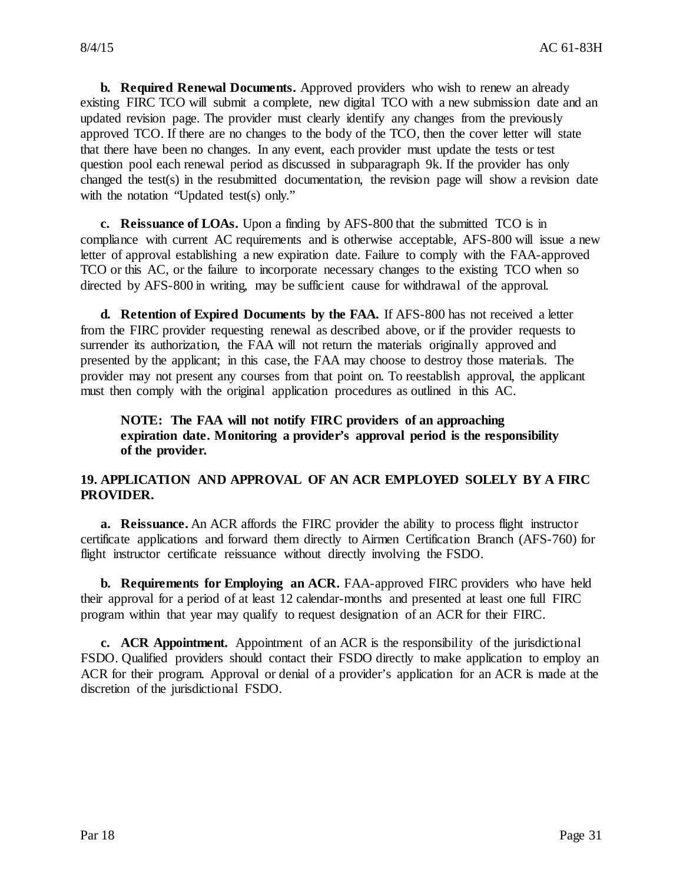**b. Required Renewal Documents.** Approved providers who wish to renew an already existing FIRC TCO will submit a complete, new digital TCO with a new submission date and an updated revision page. The provider must clearly identify any changes from the previously approved TCO. If there are no changes to the body of the TCO, then the cover letter will state that there have been no changes. In any event, each provider must update the tests or test question pool each renewal period as discussed in subparagraph 9k. If the provider has only changed the test(s) in the resubmitted documentation, the revision page will show a revision date with the notation "Updated test(s) only."

**c. Reissuance of LOAs.** Upon a finding by AFS-800 that the submitted TCO is in compliance with current AC requirements and is otherwise acceptable, AFS-800 will issue a new letter of approval establishing a new expiration date. Failure to comply with the FAA-approved TCO or this AC, or the failure to incorporate necessary changes to the existing TCO when so directed by AFS-800 in writing, may be sufficient cause for withdrawal of the approval.

**d. Retention of Expired Documents by the FAA.** If AFS-800 has not received a letter from the FIRC provider requesting renewal as described above, or if the provider requests to surrender its authorization, the FAA will not return the materials originally approved and presented by the applicant; in this case, the FAA may choose to destroy those materials. The provider may not present any courses from that point on. To reestablish approval, the applicant must then comply with the original application procedures as outlined in this AC.

#### **NOTE: The FAA will not notify FIRC providers of an approaching expiration date. Monitoring a provider's approval period is the responsibility of the provider.**

#### **19. APPLICATION AND APPROVAL OF AN ACR EMPLOYED SOLELY BY A FIRC PROVIDER.**

**a. Reissuance.** An ACR affords the FIRC provider the ability to process flight instructor certificate applications and forward them directly to Airmen Certification Branch (AFS-760) for flight instructor certificate reissuance without directly involving the FSDO.

**b. Requirements for Employing an ACR.** FAA-approved FIRC providers who have held their approval for a period of at least 12 calendar-months and presented at least one full FIRC program within that year may qualify to request designation of an ACR for their FIRC.

**c. ACR Appointment.** Appointment of an ACR is the responsibility of the jurisdictional FSDO. Qualified providers should contact their FSDO directly to make application to employ an ACR for their program. Approval or denial of a provider's application for an ACR is made at the discretion of the jurisdictional FSDO.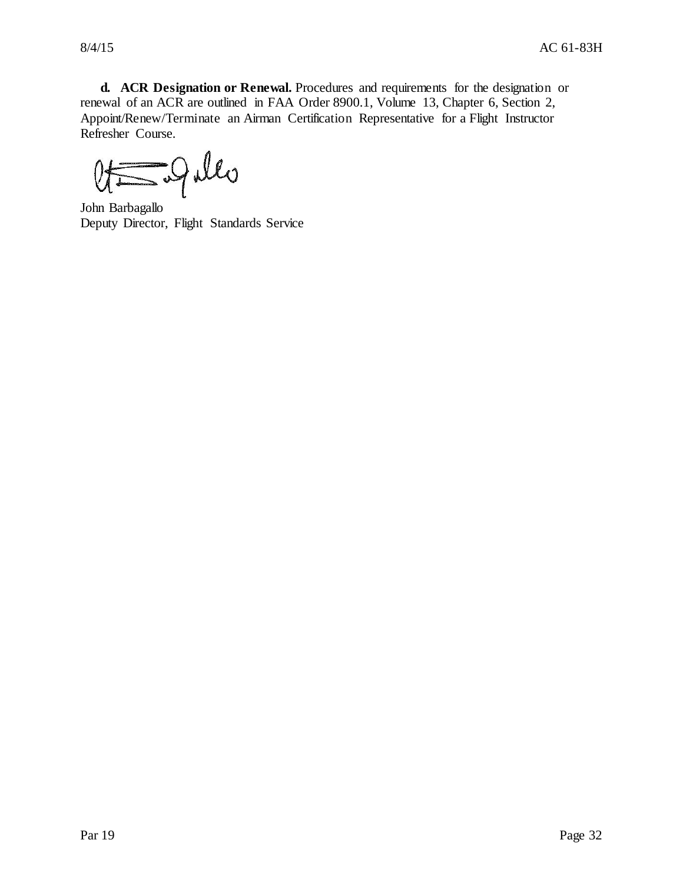**d. ACR Designation or Renewal.** Procedures and requirements for the designation or renewal of an ACR are outlined in FAA Order 8900.1, Volume 13, Chapter 6, Section 2, Appoint/Renew/Terminate an Airman Certification Representative for a Flight Instructor Refresher Course.

Of Solle

Deputy Director, Flight Standards Service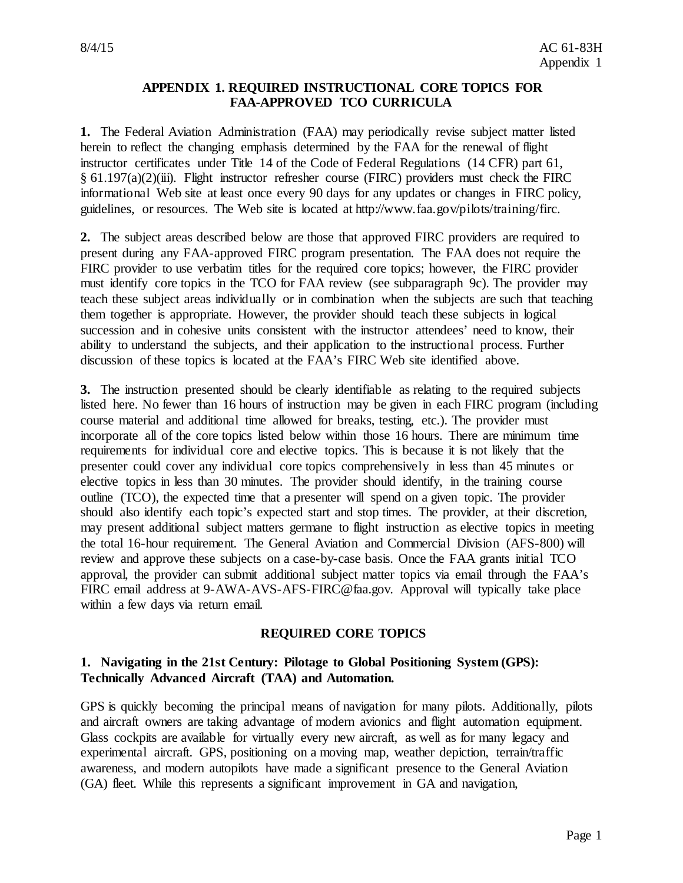#### **APPENDIX 1. REQUIRED INSTRUCTIONAL CORE TOPICS FOR FAA-APPROVED TCO CURRICULA**

**1.** The Federal Aviation Administration (FAA) may periodically revise subject matter listed herein to reflect the changing emphasis determined by the FAA for the renewal of flight instructor certificates under Title 14 of the Code of Federal Regulations (14 CFR) part 61, § 61.197(a)(2)(iii). Flight instructor refresher course (FIRC) providers must check the FIRC informational Web site at least once every 90 days for any updates or changes in FIRC policy, guidelines, or resources. The Web site is located at http://www.faa.gov/pilots/training/firc.

**2.** The subject areas described below are those that approved FIRC providers are required to present during any FAA-approved FIRC program presentation. The FAA does not require the FIRC provider to use verbatim titles for the required core topics; however, the FIRC provider must identify core topics in the TCO for FAA review (see subparagraph 9c). The provider may teach these subject areas individually or in combination when the subjects are such that teaching them together is appropriate. However, the provider should teach these subjects in logical succession and in cohesive units consistent with the instructor attendees' need to know, their ability to understand the subjects, and their application to the instructional process. Further discussion of these topics is located at the FAA's FIRC Web site identified above.

**3.** The instruction presented should be clearly identifiable as relating to the required subjects listed here. No fewer than 16 hours of instruction may be given in each FIRC program (including course material and additional time allowed for breaks, testing, etc.). The provider must incorporate all of the core topics listed below within those 16 hours. There are minimum time requirements for individual core and elective topics. This is because it is not likely that the presenter could cover any individual core topics comprehensively in less than 45 minutes or elective topics in less than 30 minutes. The provider should identify, in the training course outline (TCO), the expected time that a presenter will spend on a given topic. The provider should also identify each topic's expected start and stop times. The provider, at their discretion, may present additional subject matters germane to flight instruction as elective topics in meeting the total 16-hour requirement. The General Aviation and Commercial Division (AFS-800) will review and approve these subjects on a case-by-case basis. Once the FAA grants initial TCO approval, the provider can submit additional subject matter topics via email through the FAA's FIRC email address at 9-AWA-AVS-AFS-FIRC@faa.gov. Approval will typically take place within a few days via return email.

#### **REQUIRED CORE TOPICS**

#### **1. Navigating in the 21st Century: Pilotage to Global Positioning System (GPS): Technically Advanced Aircraft (TAA) and Automation.**

GPS is quickly becoming the principal means of navigation for many pilots. Additionally, pilots and aircraft owners are taking advantage of modern avionics and flight automation equipment. Glass cockpits are available for virtually every new aircraft, as well as for many legacy and experimental aircraft. GPS, positioning on a moving map, weather depiction, terrain/traffic awareness, and modern autopilots have made a significant presence to the General Aviation (GA) fleet. While this represents a significant improvement in GA and navigation,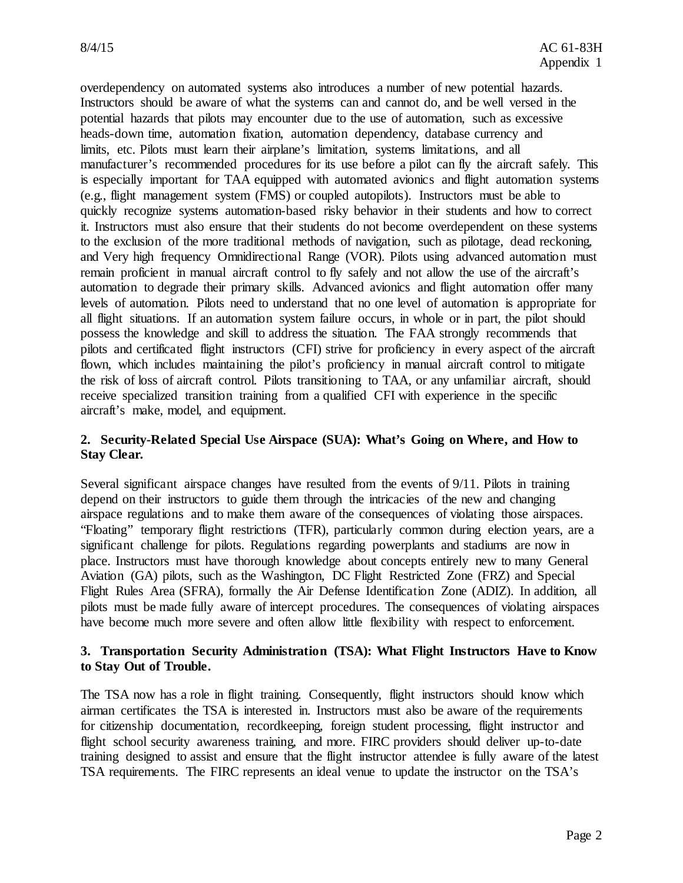overdependency on automated systems also introduces a number of new potential hazards. Instructors should be aware of what the systems can and cannot do, and be well versed in the potential hazards that pilots may encounter due to the use of automation, such as excessive heads-down time, automation fixation, automation dependency, database currency and limits, etc. Pilots must learn their airplane's limitation, systems limitations, and all manufacturer's recommended procedures for its use before a pilot can fly the aircraft safely. This is especially important for TAA equipped with automated avionics and flight automation systems (e.g., flight management system (FMS) or coupled autopilots). Instructors must be able to quickly recognize systems automation-based risky behavior in their students and how to correct it. Instructors must also ensure that their students do not become overdependent on these systems to the exclusion of the more traditional methods of navigation, such as pilotage, dead reckoning, and Very high frequency Omnidirectional Range (VOR). Pilots using advanced automation must remain proficient in manual aircraft control to fly safely and not allow the use of the aircraft's automation to degrade their primary skills. Advanced avionics and flight automation offer many levels of automation. Pilots need to understand that no one level of automation is appropriate for all flight situations. If an automation system failure occurs, in whole or in part, the pilot should possess the knowledge and skill to address the situation. The FAA strongly recommends that pilots and certificated flight instructors (CFI) strive for proficiency in every aspect of the aircraft flown, which includes maintaining the pilot's proficiency in manual aircraft control to mitigate the risk of loss of aircraft control. Pilots transitioning to TAA, or any unfamiliar aircraft, should receive specialized transition training from a qualified CFI with experience in the specific aircraft's make, model, and equipment.

#### **2. Security-Related Special Use Airspace (SUA): What's Going on Where, and How to Stay Clear.**

Several significant airspace changes have resulted from the events of 9/11. Pilots in training depend on their instructors to guide them through the intricacies of the new and changing airspace regulations and to make them aware of the consequences of violating those airspaces. "Floating" temporary flight restrictions (TFR), particularly common during election years, are a significant challenge for pilots. Regulations regarding powerplants and stadiums are now in place. Instructors must have thorough knowledge about concepts entirely new to many General Aviation (GA) pilots, such as the Washington, DC Flight Restricted Zone (FRZ) and Special Flight Rules Area (SFRA), formally the Air Defense Identification Zone (ADIZ). In addition, all pilots must be made fully aware of intercept procedures. The consequences of violating airspaces have become much more severe and often allow little flexibility with respect to enforcement.

#### **3. Transportation Security Administration (TSA): What Flight Instructors Have to Know to Stay Out of Trouble.**

The TSA now has a role in flight training. Consequently, flight instructors should know which airman certificates the TSA is interested in. Instructors must also be aware of the requirements for citizenship documentation, recordkeeping, foreign student processing, flight instructor and flight school security awareness training, and more. FIRC providers should deliver up-to-date training designed to assist and ensure that the flight instructor attendee is fully aware of the latest TSA requirements. The FIRC represents an ideal venue to update the instructor on the TSA's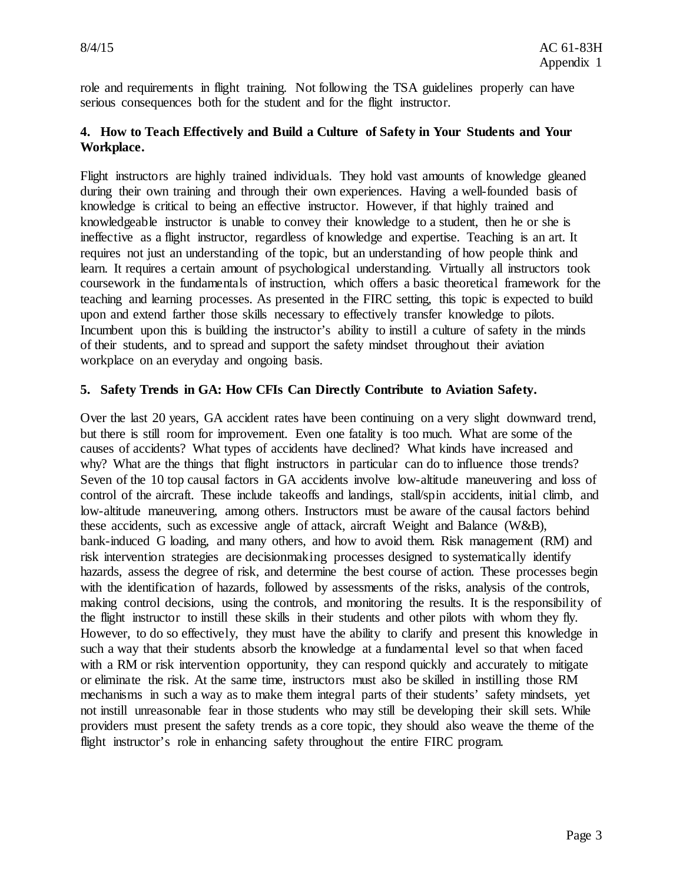role and requirements in flight training. Not following the TSA guidelines properly can have serious consequences both for the student and for the flight instructor.

#### **4. How to Teach Effectively and Build a Culture of Safety in Your Students and Your Workplace.**

Flight instructors are highly trained individuals. They hold vast amounts of knowledge gleaned during their own training and through their own experiences. Having a well-founded basis of knowledge is critical to being an effective instructor. However, if that highly trained and knowledgeable instructor is unable to convey their knowledge to a student, then he or she is ineffective as a flight instructor, regardless of knowledge and expertise. Teaching is an art. It requires not just an understanding of the topic, but an understanding of how people think and learn. It requires a certain amount of psychological understanding. Virtually all instructors took coursework in the fundamentals of instruction, which offers a basic theoretical framework for the teaching and learning processes. As presented in the FIRC setting, this topic is expected to build upon and extend farther those skills necessary to effectively transfer knowledge to pilots. Incumbent upon this is building the instructor's ability to instill a culture of safety in the minds of their students, and to spread and support the safety mindset throughout their aviation workplace on an everyday and ongoing basis.

#### **5. Safety Trends in GA: How CFIs Can Directly Contribute to Aviation Safety.**

Over the last 20 years, GA accident rates have been continuing on a very slight downward trend, but there is still room for improvement. Even one fatality is too much. What are some of the causes of accidents? What types of accidents have declined? What kinds have increased and why? What are the things that flight instructors in particular can do to influence those trends? Seven of the 10 top causal factors in GA accidents involve low-altitude maneuvering and loss of control of the aircraft. These include takeoffs and landings, stall/spin accidents, initial climb, and low-altitude maneuvering, among others. Instructors must be aware of the causal factors behind these accidents, such as excessive angle of attack, aircraft Weight and Balance (W&B), bank-induced G loading, and many others, and how to avoid them. Risk management (RM) and risk intervention strategies are decisionmaking processes designed to systematically identify hazards, assess the degree of risk, and determine the best course of action. These processes begin with the identification of hazards, followed by assessments of the risks, analysis of the controls, making control decisions, using the controls, and monitoring the results. It is the responsibility of the flight instructor to instill these skills in their students and other pilots with whom they fly. However, to do so effectively, they must have the ability to clarify and present this knowledge in such a way that their students absorb the knowledge at a fundamental level so that when faced with a RM or risk intervention opportunity, they can respond quickly and accurately to mitigate or eliminate the risk. At the same time, instructors must also be skilled in instilling those RM mechanisms in such a way as to make them integral parts of their students' safety mindsets, yet not instill unreasonable fear in those students who may still be developing their skill sets. While providers must present the safety trends as a core topic, they should also weave the theme of the flight instructor's role in enhancing safety throughout the entire FIRC program.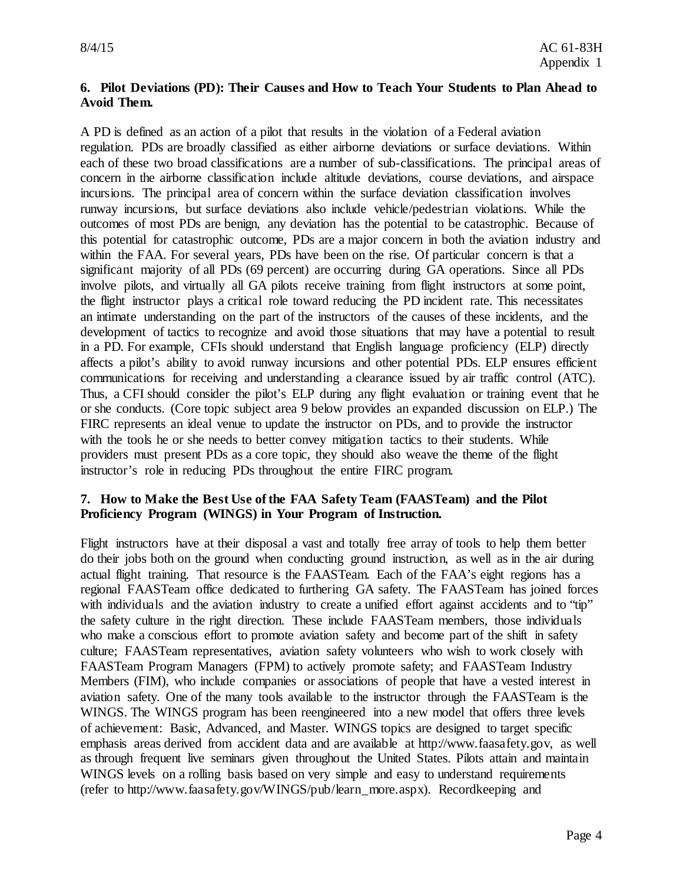#### **6. Pilot Deviations (PD): Their Causes and How to Teach Your Students to Plan Ahead to Avoid Them.**

A PD is defined as an action of a pilot that results in the violation of a Federal aviation regulation. PDs are broadly classified as either airborne deviations or surface deviations. Within each of these two broad classifications are a number of sub-classifications. The principal areas of concern in the airborne classification include altitude deviations, course deviations, and airspace incursions. The principal area of concern within the surface deviation classification involves runway incursions, but surface deviations also include vehicle/pedestrian violations. While the outcomes of most PDs are benign, any deviation has the potential to be catastrophic. Because of this potential for catastrophic outcome, PDs are a major concern in both the aviation industry and within the FAA. For several years, PDs have been on the rise. Of particular concern is that a significant majority of all PDs (69 percent) are occurring during GA operations. Since all PDs involve pilots, and virtually all GA pilots receive training from flight instructors at some point, the flight instructor plays a critical role toward reducing the PD incident rate. This necessitates an intimate understanding on the part of the instructors of the causes of these incidents, and the development of tactics to recognize and avoid those situations that may have a potential to result in a PD. For example, CFIs should understand that English language proficiency (ELP) directly affects a pilot's ability to avoid runway incursions and other potential PDs. ELP ensures efficient communications for receiving and understanding a clearance issued by air traffic control (ATC). Thus, a CFI should consider the pilot's ELP during any flight evaluation or training event that he or she conducts. (Core topic subject area 9 below provides an expanded discussion on ELP.) The FIRC represents an ideal venue to update the instructor on PDs, and to provide the instructor with the tools he or she needs to better convey mitigation tactics to their students. While providers must present PDs as a core topic, they should also weave the theme of the flight instructor's role in reducing PDs throughout the entire FIRC program.

#### **7. How to Make the Best Use of the FAA Safety Team (FAASTeam) and the Pilot Proficiency Program (WINGS) in Your Program of Instruction.**

Flight instructors have at their disposal a vast and totally free array of tools to help them better do their jobs both on the ground when conducting ground instruction, as well as in the air during actual flight training. That resource is the FAASTeam. Each of the FAA's eight regions has a regional FAASTeam office dedicated to furthering GA safety. The FAASTeam has joined forces with individuals and the aviation industry to create a unified effort against accidents and to "tip" the safety culture in the right direction. These include FAASTeam members, those individuals who make a conscious effort to promote aviation safety and become part of the shift in safety culture; FAASTeam representatives, aviation safety volunteers who wish to work closely with FAASTeam Program Managers (FPM) to actively promote safety; and FAASTeam Industry Members (FIM), who include companies or associations of people that have a vested interest in aviation safety. One of the many tools available to the instructor through the FAASTeam is the WINGS. The WINGS program has been reengineered into a new model that offers three levels of achievement: Basic, Advanced, and Master. WINGS topics are designed to target specific emphasis areas derived from accident data and are available at http://www.faasafety.gov, as well as through frequent live seminars given throughout the United States. Pilots attain and maintain WINGS levels on a rolling basis based on very simple and easy to understand requirements (refer to http://www.faasafety.gov/WINGS/pub/learn\_more.aspx). Recordkeeping and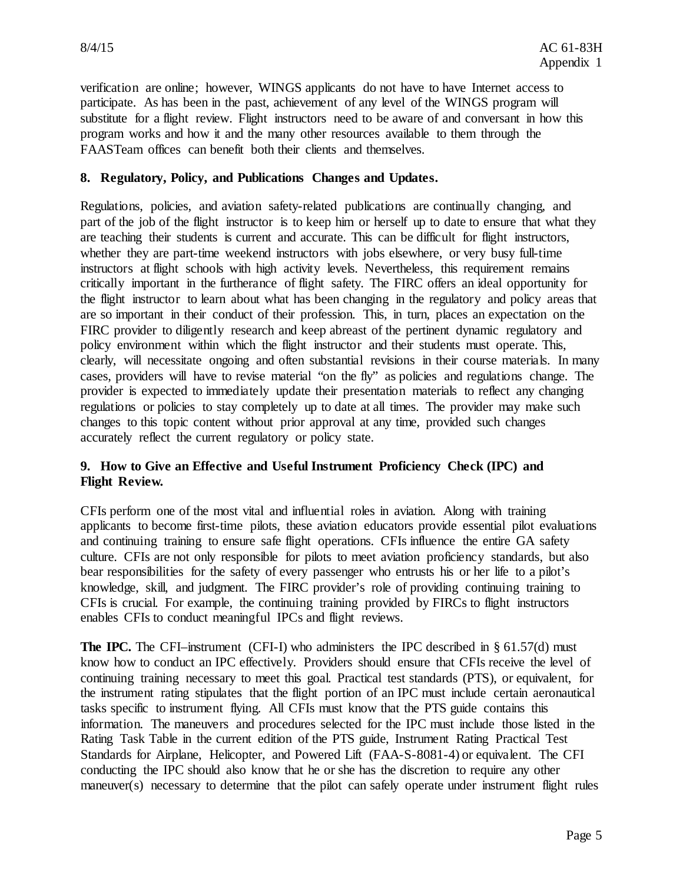verification are online; however, WINGS applicants do not have to have Internet access to participate. As has been in the past, achievement of any level of the WINGS program will substitute for a flight review. Flight instructors need to be aware of and conversant in how this program works and how it and the many other resources available to them through the FAASTeam offices can benefit both their clients and themselves.

#### **8. Regulatory, Policy, and Publications Changes and Updates.**

Regulations, policies, and aviation safety-related publications are continually changing, and part of the job of the flight instructor is to keep him or herself up to date to ensure that what they are teaching their students is current and accurate. This can be difficult for flight instructors, whether they are part-time weekend instructors with jobs elsewhere, or very busy full-time instructors at flight schools with high activity levels. Nevertheless, this requirement remains critically important in the furtherance of flight safety. The FIRC offers an ideal opportunity for the flight instructor to learn about what has been changing in the regulatory and policy areas that are so important in their conduct of their profession. This, in turn, places an expectation on the FIRC provider to diligently research and keep abreast of the pertinent dynamic regulatory and policy environment within which the flight instructor and their students must operate. This, clearly, will necessitate ongoing and often substantial revisions in their course materials. In many cases, providers will have to revise material "on the fly" as policies and regulations change. The provider is expected to immediately update their presentation materials to reflect any changing regulations or policies to stay completely up to date at all times. The provider may make such changes to this topic content without prior approval at any time, provided such changes accurately reflect the current regulatory or policy state.

#### **9. How to Give an Effective and Useful Instrument Proficiency Check (IPC) and Flight Review.**

CFIs perform one of the most vital and influential roles in aviation. Along with training applicants to become first-time pilots, these aviation educators provide essential pilot evaluations and continuing training to ensure safe flight operations. CFIs influence the entire GA safety culture. CFIs are not only responsible for pilots to meet aviation proficiency standards, but also bear responsibilities for the safety of every passenger who entrusts his or her life to a pilot's knowledge, skill, and judgment. The FIRC provider's role of providing continuing training to CFIs is crucial. For example, the continuing training provided by FIRCs to flight instructors enables CFIs to conduct meaningful IPCs and flight reviews.

**The IPC.** The CFI–instrument (CFI-I) who administers the IPC described in  $\S 61.57(d)$  must know how to conduct an IPC effectively. Providers should ensure that CFIs receive the level of continuing training necessary to meet this goal. Practical test standards (PTS), or equivalent, for the instrument rating stipulates that the flight portion of an IPC must include certain aeronautical tasks specific to instrument flying. All CFIs must know that the PTS guide contains this information. The maneuvers and procedures selected for the IPC must include those listed in the Rating Task Table in the current edition of the PTS guide, Instrument Rating Practical Test Standards for Airplane, Helicopter, and Powered Lift (FAA-S-8081-4) or equivalent. The CFI conducting the IPC should also know that he or she has the discretion to require any other maneuver(s) necessary to determine that the pilot can safely operate under instrument flight rules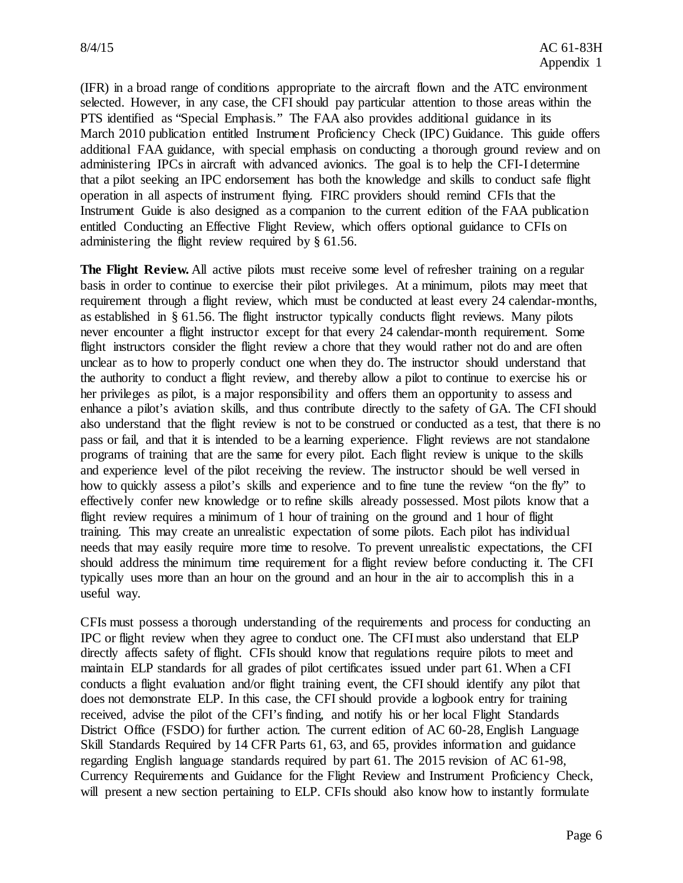(IFR) in a broad range of conditions appropriate to the aircraft flown and the ATC environment selected. However, in any case, the CFI should pay particular attention to those areas within the PTS identified as "Special Emphasis." The FAA also provides additional guidance in its March 2010 publication entitled Instrument Proficiency Check (IPC) Guidance. This guide offers additional FAA guidance, with special emphasis on conducting a thorough ground review and on administering IPCs in aircraft with advanced avionics. The goal is to help the CFI-I determine that a pilot seeking an IPC endorsement has both the knowledge and skills to conduct safe flight operation in all aspects of instrument flying. FIRC providers should remind CFIs that the Instrument Guide is also designed as a companion to the current edition of the FAA publication entitled Conducting an Effective Flight Review, which offers optional guidance to CFIs on administering the flight review required by § 61.56.

The Flight Review. All active pilots must receive some level of refresher training on a regular basis in order to continue to exercise their pilot privileges. At a minimum, pilots may meet that requirement through a flight review, which must be conducted at least every 24 calendar-months, as established in § 61.56. The flight instructor typically conducts flight reviews. Many pilots never encounter a flight instructor except for that every 24 calendar-month requirement. Some flight instructors consider the flight review a chore that they would rather not do and are often unclear as to how to properly conduct one when they do. The instructor should understand that the authority to conduct a flight review, and thereby allow a pilot to continue to exercise his or her privileges as pilot, is a major responsibility and offers them an opportunity to assess and enhance a pilot's aviation skills, and thus contribute directly to the safety of GA. The CFI should also understand that the flight review is not to be construed or conducted as a test, that there is no pass or fail, and that it is intended to be a learning experience. Flight reviews are not standalone programs of training that are the same for every pilot. Each flight review is unique to the skills and experience level of the pilot receiving the review. The instructor should be well versed in how to quickly assess a pilot's skills and experience and to fine tune the review "on the fly" to effectively confer new knowledge or to refine skills already possessed. Most pilots know that a flight review requires a minimum of 1 hour of training on the ground and 1 hour of flight training. This may create an unrealistic expectation of some pilots. Each pilot has individual needs that may easily require more time to resolve. To prevent unrealistic expectations, the CFI should address the minimum time requirement for a flight review before conducting it. The CFI typically uses more than an hour on the ground and an hour in the air to accomplish this in a useful way.

CFIs must possess a thorough understanding of the requirements and process for conducting an IPC or flight review when they agree to conduct one. The CFI must also understand that ELP directly affects safety of flight. CFIs should know that regulations require pilots to meet and maintain ELP standards for all grades of pilot certificates issued under part 61. When a CFI conducts a flight evaluation and/or flight training event, the CFI should identify any pilot that does not demonstrate ELP. In this case, the CFI should provide a logbook entry for training received, advise the pilot of the CFI's finding, and notify his or her local Flight Standards District Office (FSDO) for further action. The current edition of AC 60-28, English Language Skill Standards Required by 14 CFR Parts 61, 63, and 65, provides information and guidance regarding English language standards required by part 61. The 2015 revision of AC 61-98, Currency Requirements and Guidance for the Flight Review and Instrument Proficiency Check, will present a new section pertaining to ELP. CFIs should also know how to instantly formulate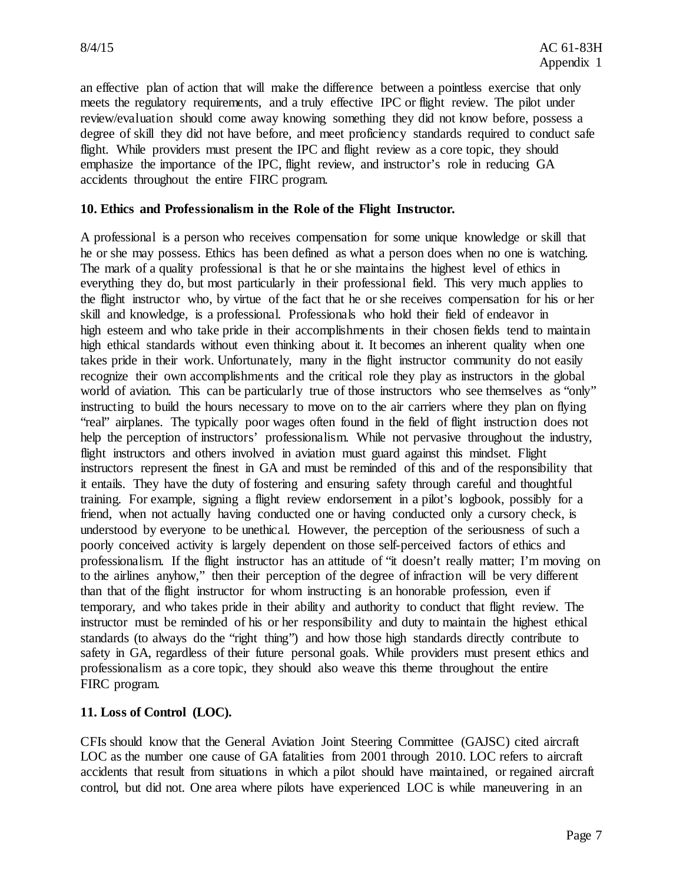an effective plan of action that will make the difference between a pointless exercise that only meets the regulatory requirements, and a truly effective IPC or flight review. The pilot under review/evaluation should come away knowing something they did not know before, possess a degree of skill they did not have before, and meet proficiency standards required to conduct safe flight. While providers must present the IPC and flight review as a core topic, they should emphasize the importance of the IPC, flight review, and instructor's role in reducing GA accidents throughout the entire FIRC program.

#### **10. Ethics and Professionalism in the Role of the Flight Instructor.**

A professional is a person who receives compensation for some unique knowledge or skill that he or she may possess. Ethics has been defined as what a person does when no one is watching. The mark of a quality professional is that he or she maintains the highest level of ethics in everything they do, but most particularly in their professional field. This very much applies to the flight instructor who, by virtue of the fact that he or she receives compensation for his or her skill and knowledge, is a professional. Professionals who hold their field of endeavor in high esteem and who take pride in their accomplishments in their chosen fields tend to maintain high ethical standards without even thinking about it. It becomes an inherent quality when one takes pride in their work. Unfortunately, many in the flight instructor community do not easily recognize their own accomplishments and the critical role they play as instructors in the global world of aviation. This can be particularly true of those instructors who see themselves as "only" instructing to build the hours necessary to move on to the air carriers where they plan on flying "real" airplanes. The typically poor wages often found in the field of flight instruction does not help the perception of instructors' professionalism. While not pervasive throughout the industry, flight instructors and others involved in aviation must guard against this mindset. Flight instructors represent the finest in GA and must be reminded of this and of the responsibility that it entails. They have the duty of fostering and ensuring safety through careful and thoughtful training. For example, signing a flight review endorsement in a pilot's logbook, possibly for a friend, when not actually having conducted one or having conducted only a cursory check, is understood by everyone to be unethical. However, the perception of the seriousness of such a poorly conceived activity is largely dependent on those self-perceived factors of ethics and professionalism. If the flight instructor has an attitude of "it doesn't really matter; I'm moving on to the airlines anyhow," then their perception of the degree of infraction will be very different than that of the flight instructor for whom instructing is an honorable profession, even if temporary, and who takes pride in their ability and authority to conduct that flight review. The instructor must be reminded of his or her responsibility and duty to maintain the highest ethical standards (to always do the "right thing") and how those high standards directly contribute to safety in GA, regardless of their future personal goals. While providers must present ethics and professionalism as a core topic, they should also weave this theme throughout the entire FIRC program.

#### **11. Loss of Control (LOC).**

CFIs should know that the General Aviation Joint Steering Committee (GAJSC) cited aircraft LOC as the number one cause of GA fatalities from 2001 through 2010. LOC refers to aircraft accidents that result from situations in which a pilot should have maintained, or regained aircraft control, but did not. One area where pilots have experienced LOC is while maneuvering in an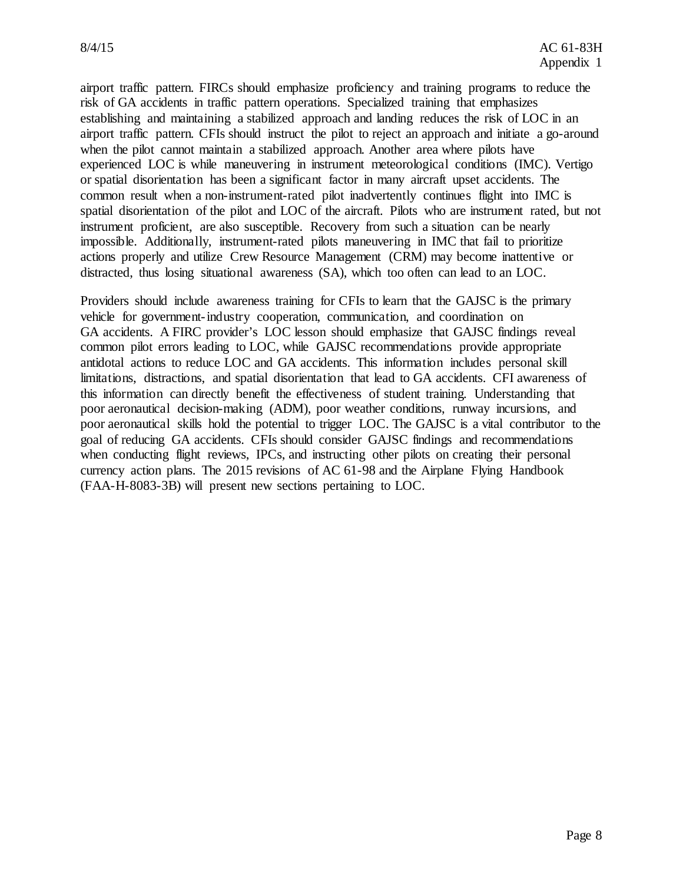airport traffic pattern. FIRCs should emphasize proficiency and training programs to reduce the risk of GA accidents in traffic pattern operations. Specialized training that emphasizes establishing and maintaining a stabilized approach and landing reduces the risk of LOC in an airport traffic pattern. CFIs should instruct the pilot to reject an approach and initiate a go-around when the pilot cannot maintain a stabilized approach. Another area where pilots have experienced LOC is while maneuvering in instrument meteorological conditions (IMC). Vertigo or spatial disorientation has been a significant factor in many aircraft upset accidents. The common result when a non-instrument-rated pilot inadvertently continues flight into IMC is spatial disorientation of the pilot and LOC of the aircraft. Pilots who are instrument rated, but not instrument proficient, are also susceptible. Recovery from such a situation can be nearly impossible. Additionally, instrument-rated pilots maneuvering in IMC that fail to prioritize actions properly and utilize Crew Resource Management (CRM) may become inattentive or distracted, thus losing situational awareness (SA), which too often can lead to an LOC.

Providers should include awareness training for CFIs to learn that the GAJSC is the primary vehicle for government-industry cooperation, communication, and coordination on GA accidents. A FIRC provider's LOC lesson should emphasize that GAJSC findings reveal common pilot errors leading to LOC, while GAJSC recommendations provide appropriate antidotal actions to reduce LOC and GA accidents. This information includes personal skill limitations, distractions, and spatial disorientation that lead to GA accidents. CFI awareness of this information can directly benefit the effectiveness of student training. Understanding that poor aeronautical decision-making (ADM), poor weather conditions, runway incursions, and poor aeronautical skills hold the potential to trigger LOC. The GAJSC is a vital contributor to the goal of reducing GA accidents. CFIs should consider GAJSC findings and recommendations when conducting flight reviews, IPCs, and instructing other pilots on creating their personal currency action plans. The 2015 revisions of AC 61-98 and the Airplane Flying Handbook (FAA-H-8083-3B) will present new sections pertaining to LOC.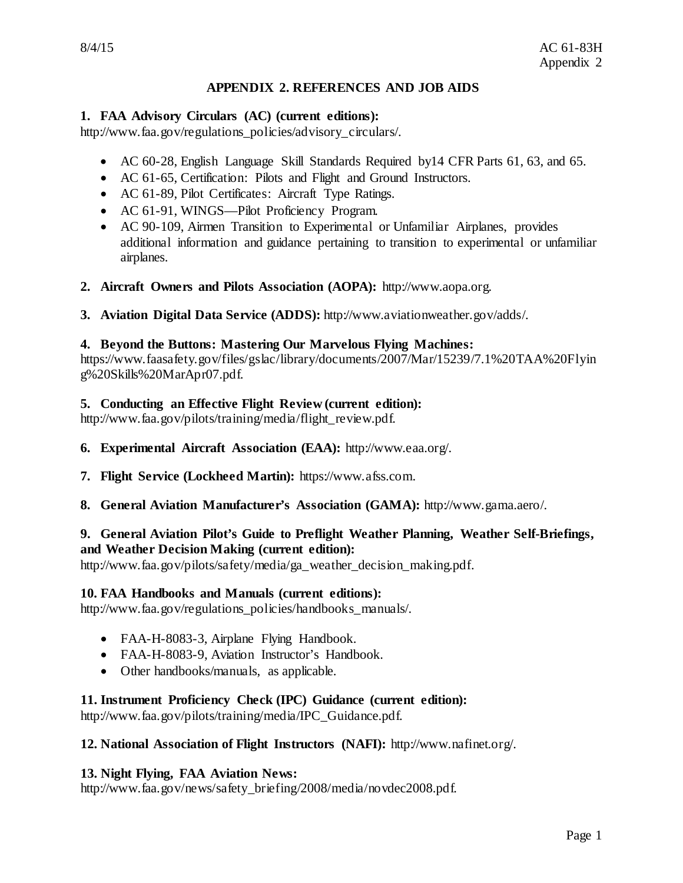#### **APPENDIX 2. REFERENCES AND JOB AIDS**

#### **1. FAA Advisory Circulars (AC) (current editions):**

http://www.faa.gov/regulations\_policies/advisory\_circulars/.

- AC 60-28, English Language Skill Standards Required by14 CFR Parts 61, 63, and 65.
- AC 61-65, Certification: Pilots and Flight and Ground Instructors.
- AC 61-89, Pilot Certificates: Aircraft Type Ratings.
- AC 61-91, WINGS—Pilot Proficiency Program.
- AC 90-109, Airmen Transition to Experimental or Unfamiliar Airplanes, provides additional information and guidance pertaining to transition to experimental or unfamiliar airplanes.
- **2. Aircraft Owners and Pilots Association (AOPA):** http://www.aopa.org.
- **3. Aviation Digital Data Service (ADDS):** http://www.aviationweather.gov/adds/.

#### **4. Beyond the Buttons: Mastering Our Marvelous Flying Machines:**

https://www.faasafety.gov/files/gslac/library/documents/2007/Mar/15239/7.1%20TAA%20Flyin g%20Skills%20MarApr07.pdf.

#### **5. Conducting an Effective Flight Review (current edition):**

http://www.faa.gov/pilots/training/media/flight\_review.pdf.

- **6. Experimental Aircraft Association (EAA):** http://www.eaa.org/.
- **7. Flight Service (Lockheed Martin):** https://www.afss.com.
- **8. General Aviation Manufacturer's Association (GAMA):** http://www.gama.aero/.

#### **9. General Aviation Pilot's Guide to Preflight Weather Planning, Weather Self-Briefings, and Weather Decision Making (current edition):**

http://www.faa.gov/pilots/safety/media/ga\_weather\_decision\_making.pdf.

#### **10. FAA Handbooks and Manuals (current editions):**

http://www.faa.gov/regulations\_policies/handbooks\_manuals/.

- FAA-H-8083-3, Airplane Flying Handbook.
- FAA-H-8083-9, Aviation Instructor's Handbook.
- Other handbooks/manuals, as applicable.

#### **11. Instrument Proficiency Check (IPC) Guidance (current edition):**

http://www.faa.gov/pilots/training/media/IPC\_Guidance.pdf.

#### **12. National Association of Flight Instructors (NAFI):** http://www.nafinet.org/.

#### **13. Night Flying, FAA Aviation News:**

http://www.faa.gov/news/safety\_briefing/2008/media/novdec2008.pdf.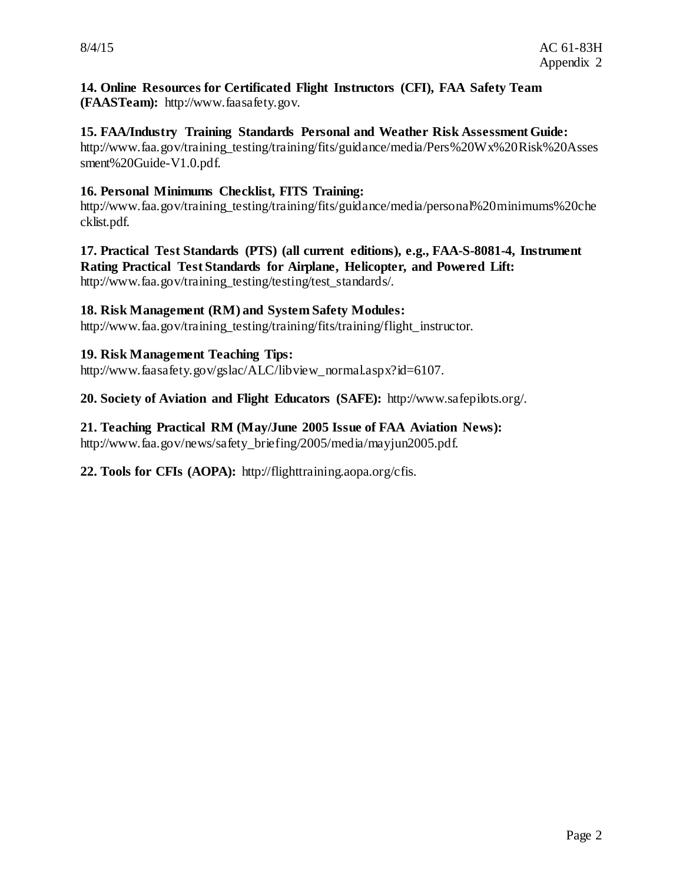#### **14. Online Resources for Certificated Flight Instructors (CFI), FAA Safety Team (FAASTeam):** http://www.faasafety.gov.

#### **15. FAA/Industry Training Standards Personal and Weather Risk Assessment Guide:**

http://www.faa.gov/training\_testing/training/fits/guidance/media/Pers%20Wx%20Risk%20Asses sment%20Guide-V1.0.pdf.

#### **16. Personal Minimums Checklist, FITS Training:**

http://www.faa.gov/training\_testing/training/fits/guidance/media/personal%20minimums%20che cklist.pdf.

#### **17. Practical Test Standards (PTS) (all current editions), e.g., FAA-S-8081-4, Instrument Rating Practical Test Standards for Airplane, Helicopter, and Powered Lift:** http://www.faa.gov/training\_testing/testing/test\_standards/.

#### **18. Risk Management (RM) and System Safety Modules:**

http://www.faa.gov/training testing/training/fits/training/flight instructor.

#### **19. Risk Management Teaching Tips:**

http://www.faasafety.gov/gslac/ALC/libview\_normal.aspx?id=6107.

**20. Society of Aviation and Flight Educators (SAFE):** http://www.safepilots.org/.

#### **21. Teaching Practical RM (May/June 2005 Issue of FAA Aviation News):**

http://www.faa.gov/news/safety\_briefing/2005/media/mayjun2005.pdf.

**22. Tools for CFIs (AOPA):** http://flighttraining.aopa.org/cfis.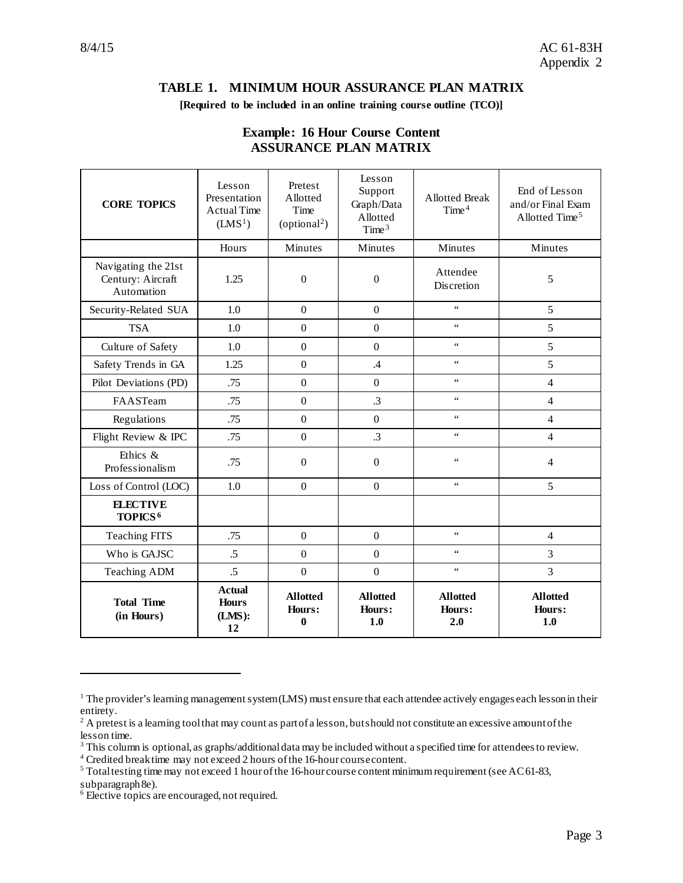#### **TABLE 1. MINIMUM HOUR ASSURANCE PLAN MATRIX**

#### **[Required to be included in an online training course outline (TCO)]**

| <b>CORE TOPICS</b>                                     | Lesson<br>Presentation<br><b>Actual Time</b><br>(LMS <sup>1</sup> ) | Pretest<br>Allotted<br>Time<br>(optional <sup>2</sup> ) | Lesson<br>Support<br>Graph/Data<br>Allotted<br>Time $3$ | <b>Allotted Break</b><br>Time <sup>4</sup> | End of Lesson<br>and/or Final Exam<br>Allotted Time <sup>5</sup> |
|--------------------------------------------------------|---------------------------------------------------------------------|---------------------------------------------------------|---------------------------------------------------------|--------------------------------------------|------------------------------------------------------------------|
|                                                        | Hours                                                               | Minutes                                                 | Minutes                                                 | Minutes                                    | Minutes                                                          |
| Navigating the 21st<br>Century: Aircraft<br>Automation | 1.25                                                                | $\boldsymbol{0}$                                        | $\boldsymbol{0}$                                        | Attendee<br>Discretion                     | 5                                                                |
| Security-Related SUA                                   | 1.0                                                                 | $\overline{0}$                                          | $\overline{0}$                                          | $\epsilon$ $\epsilon$                      | 5                                                                |
| <b>TSA</b>                                             | 1.0                                                                 | $\boldsymbol{0}$                                        | $\mathbf{0}$                                            | $\epsilon$ $\epsilon$                      | 5                                                                |
| Culture of Safety                                      | 1.0                                                                 | $\boldsymbol{0}$                                        | $\overline{0}$                                          | $\zeta$ $\zeta$                            | 5                                                                |
| Safety Trends in GA                                    | 1.25                                                                | $\boldsymbol{0}$                                        | .4                                                      | $\epsilon$ $\epsilon$                      | 5                                                                |
| Pilot Deviations (PD)                                  | .75                                                                 | $\Omega$                                                | $\boldsymbol{0}$                                        | $\epsilon$ $\epsilon$                      | $\overline{4}$                                                   |
| FAASTeam                                               | .75                                                                 | $\boldsymbol{0}$                                        | $\cdot$ 3                                               | $\epsilon\epsilon$                         | $\overline{4}$                                                   |
| Regulations                                            | .75                                                                 | $\Omega$                                                | $\mathbf{0}$                                            | $\epsilon$ $\epsilon$                      | $\overline{4}$                                                   |
| Flight Review & IPC                                    | .75                                                                 | $\mathbf{0}$                                            | $\cdot$ 3                                               | $\zeta\,\zeta$                             | $\overline{4}$                                                   |
| Ethics &<br>Professionalism                            | .75                                                                 | $\boldsymbol{0}$                                        | $\boldsymbol{0}$                                        | 66                                         | 4                                                                |
| Loss of Control (LOC)                                  | 1.0                                                                 | $\Omega$                                                | $\Omega$                                                | $\epsilon$ $\epsilon$                      | 5                                                                |
| <b>ELECTIVE</b><br>TOPICS <sup>6</sup>                 |                                                                     |                                                         |                                                         |                                            |                                                                  |
| <b>Teaching FITS</b>                                   | .75                                                                 | $\boldsymbol{0}$                                        | $\overline{0}$                                          | $\zeta\,\zeta$                             | 4                                                                |
| Who is GAJSC                                           | .5                                                                  | $\overline{0}$                                          | $\overline{0}$                                          | $\epsilon$ $\epsilon$                      | 3                                                                |
| Teaching ADM                                           | .5                                                                  | $\boldsymbol{0}$                                        | $\overline{0}$                                          | $\zeta\,\zeta$                             | 3                                                                |
| <b>Total Time</b><br>(in Hours)                        | <b>Actual</b><br><b>Hours</b><br>(LMS):<br>12                       | <b>Allotted</b><br>Hours:<br>0                          | <b>Allotted</b><br>Hours:<br>1.0                        | <b>Allotted</b><br>Hours:<br>2.0           | <b>Allotted</b><br>Hours:<br>1.0                                 |

#### **Example: 16 Hour Course Content ASSURANCE PLAN MATRIX**

 $\overline{a}$ 

<span id="page-42-0"></span> $1$  The provider's learning management system (LMS) must ensure that each attendee actively engages each lesson in their entirety.

<span id="page-42-1"></span><sup>&</sup>lt;sup>2</sup> A pretest is a learning tool that may count as part of a lesson, but should not constitute an excessive amount of the <sup>3</sup> This column is optional, as graphs/additional data may be included without a specified time for attendees to review.<br><sup>4</sup> Credited break time may not exceed 2 hours of the 16-hour course content.

<span id="page-42-2"></span>

<span id="page-42-3"></span>

<span id="page-42-4"></span> $5$  Total testing time may not exceed 1 hour of the 16-hour course content minimum requirement (see AC 61-83, subparagraph 8e).

<span id="page-42-5"></span> $6$  Elective topics are encouraged, not required.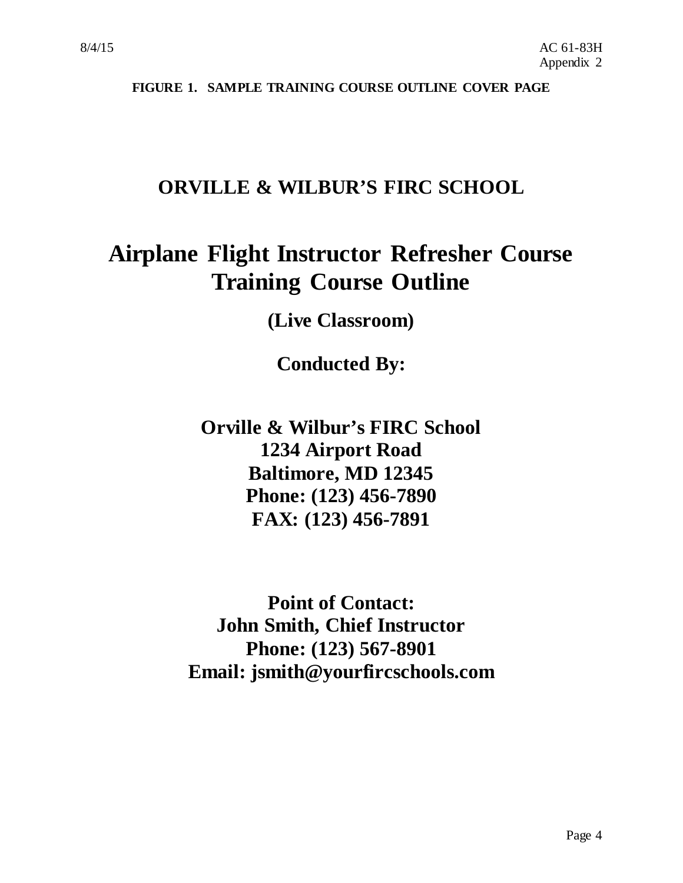**FIGURE 1. SAMPLE TRAINING COURSE OUTLINE COVER PAGE**

### **ORVILLE & WILBUR'S FIRC SCHOOL**

## **Airplane Flight Instructor Refresher Course Training Course Outline**

**(Live Classroom)**

**Conducted By:**

**Orville & Wilbur's FIRC School 1234 Airport Road Baltimore, MD 12345 Phone: (123) 456-7890 FAX: (123) 456-7891**

**Point of Contact: John Smith, Chief Instructor Phone: (123) 567-8901 Email: jsmith@yourfircschools.com**